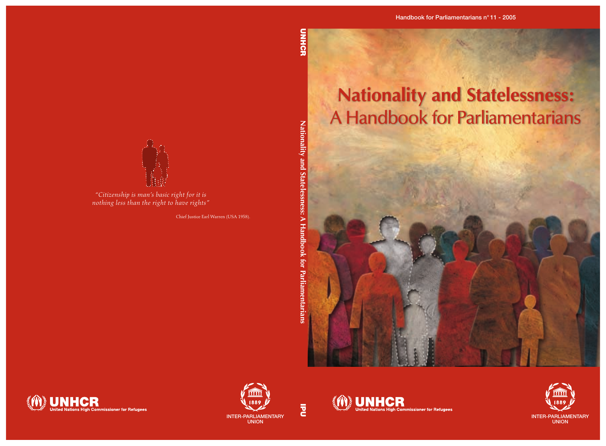

**IPU** 





*"Citizenship is man's basic right for it is* 

Chief Justice Earl Warren (USA 1958).





**JUNHCR** United Nations High Commissioner for Refugees

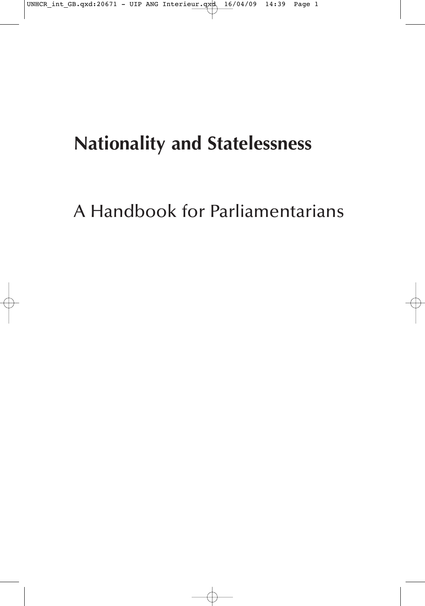# **Nationality and Statelessness**

A Handbook for Parliamentarians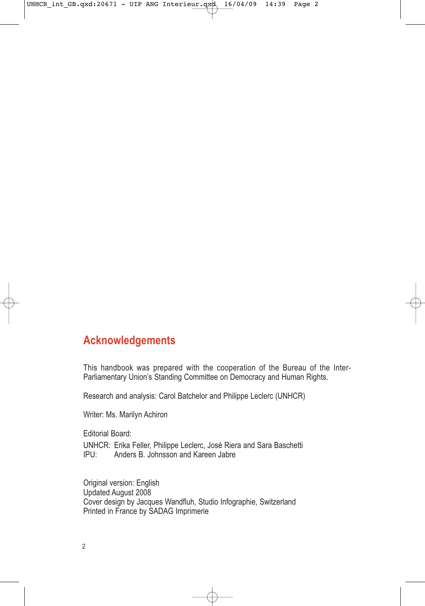# **Acknowledgements**

This handbook was prepared with the cooperation of the Bureau of the Inter-Parliamentary Union's Standing Committee on Democracy and Human Rights.

Research and analysis: Carol Batchelor and Philippe Leclerc (UNHCR)

Writer: Ms. Marilyn Achiron

Editorial Board:

UNHCR: Erika Feller, Philippe Leclerc, José Riera and Sara Baschetti<br>IPU: Anders B. Johnsson and Kareen Jabre Anders B. Johnsson and Kareen Jabre

Original version: English Updated August 2008 Cover design by Jacques Wandfluh, Studio Infographie, Switzerland Printed in France by SADAG Imprimerie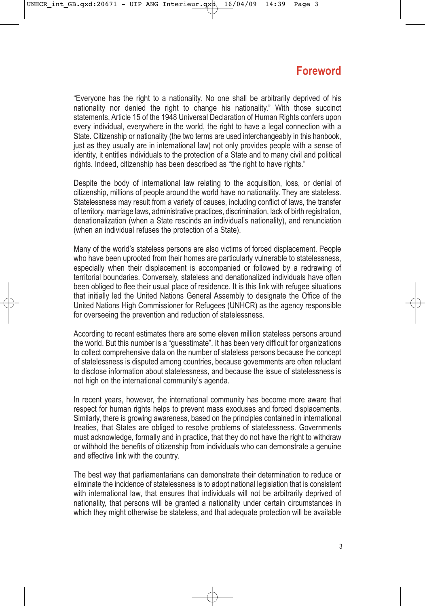# **Foreword**

"Everyone has the right to a nationality. No one shall be arbitrarily deprived of his nationality nor denied the right to change his nationality." With those succinct statements, Article 15 of the 1948 Universal Declaration of Human Rights confers upon every individual, everywhere in the world, the right to have a legal connection with a State. Citizenship or nationality (the two terms are used interchangeably in this hanbook, just as they usually are in international law) not only provides people with a sense of identity, it entitles individuals to the protection of a State and to many civil and political rights. Indeed, citizenship has been described as "the right to have rights."

Despite the body of international law relating to the acquisition, loss, or denial of citizenship, millions of people around the world have no nationality. They are stateless. Statelessness may result from a variety of causes, including conflict of laws, the transfer of territory, marriage laws, administrative practices, discrimination, lack of birth registration, denationalization (when a State rescinds an individual's nationality), and renunciation (when an individual refuses the protection of a State).

Many of the world's stateless persons are also victims of forced displacement. People who have been uprooted from their homes are particularly vulnerable to statelessness, especially when their displacement is accompanied or followed by a redrawing of territorial boundaries. Conversely, stateless and denationalized individuals have often been obliged to flee their usual place of residence. It is this link with refugee situations that initially led the United Nations General Assembly to designate the Office of the United Nations High Commissioner for Refugees (UNHCR) as the agency responsible for overseeing the prevention and reduction of statelessness.

According to recent estimates there are some eleven million stateless persons around the world. But this number is a "guesstimate". It has been very difficult for organizations to collect comprehensive data on the number of stateless persons because the concept of statelessness is disputed among countries, because governments are often reluctant to disclose information about statelessness, and because the issue of statelessness is not high on the international community's agenda.

In recent years, however, the international community has become more aware that respect for human rights helps to prevent mass exoduses and forced displacements. Similarly, there is growing awareness, based on the principles contained in international treaties, that States are obliged to resolve problems of statelessness. Governments must acknowledge, formally and in practice, that they do not have the right to withdraw or withhold the benefits of citizenship from individuals who can demonstrate a genuine and effective link with the country.

The best way that parliamentarians can demonstrate their determination to reduce or eliminate the incidence of statelessness is to adopt national legislation that is consistent with international law, that ensures that individuals will not be arbitrarily deprived of nationality, that persons will be granted a nationality under certain circumstances in which they might otherwise be stateless, and that adequate protection will be available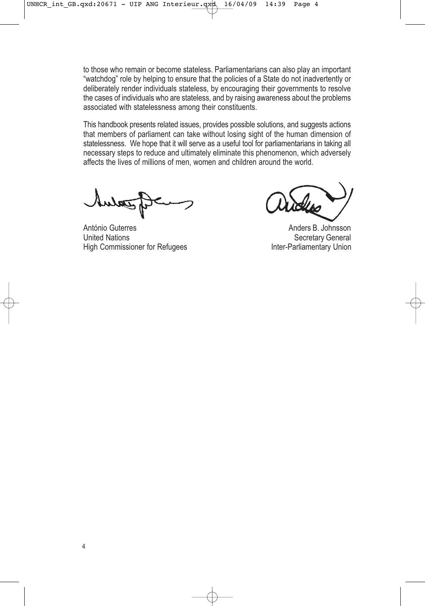to those who remain or become stateless. Parliamentarians can also play an important "watchdog" role by helping to ensure that the policies of a State do not inadvertently or deliberately render individuals stateless, by encouraging their governments to resolve the cases of individuals who are stateless, and by raising awareness about the problems associated with statelessness among their constituents.

This handbook presents related issues, provides possible solutions, and suggests actions that members of parliament can take without losing sight of the human dimension of statelessness. We hope that it will serve as a useful tool for parliamentarians in taking all necessary steps to reduce and ultimately eliminate this phenomenon, which adversely affects the lives of millions of men, women and children around the world.

António Guterres Anders B. Johnsson High Commissioner for Refugees Inter-Parliamentary Union

Secretary General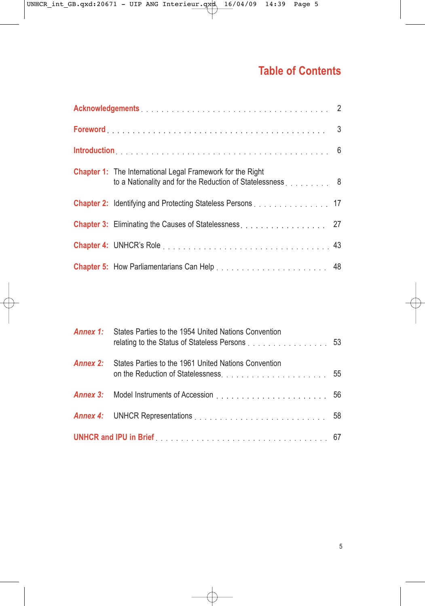# **Table of Contents**

| <b>Chapter 1:</b> The International Legal Framework for the Right<br>to a Nationality and for the Reduction of Statelessness [1, 1, 1, 1, 1, 1, 8] |  |
|----------------------------------------------------------------------------------------------------------------------------------------------------|--|
| Chapter 2: Identifying and Protecting Stateless Persons 17                                                                                         |  |
|                                                                                                                                                    |  |
|                                                                                                                                                    |  |
|                                                                                                                                                    |  |

|                                                                                                      | <b>Annex 1:</b> States Parties to the 1954 United Nations Convention<br>relating to the Status of Stateless Persons 53 |  |  |
|------------------------------------------------------------------------------------------------------|------------------------------------------------------------------------------------------------------------------------|--|--|
| Annex 2:                                                                                             | States Parties to the 1961 United Nations Convention                                                                   |  |  |
|                                                                                                      |                                                                                                                        |  |  |
|                                                                                                      |                                                                                                                        |  |  |
| UNHCR and IPU in Brief <b>Exercise 2018</b> Contains the UNHCR and IPU in Brief <b>Exercise 2019</b> |                                                                                                                        |  |  |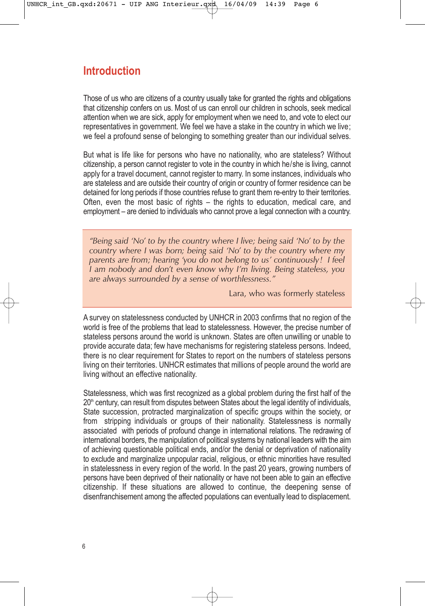# **Introduction**

Those of us who are citizens of a country usually take for granted the rights and obligations that citizenship confers on us. Most of us can enroll our children in schools, seek medical attention when we are sick, apply for employment when we need to, and vote to elect our representatives in government. We feel we have a stake in the country in which we live; we feel a profound sense of belonging to something greater than our individual selves.

But what is life like for persons who have no nationality, who are stateless? Without citizenship, a person cannot register to vote in the country in which he/she is living, cannot apply for a travel document, cannot register to marry. In some instances, individuals who are stateless and are outside their country of origin or country of former residence can be detained for long periods if those countries refuse to grant them re-entry to their territories. Often, even the most basic of rights – the rights to education, medical care, and employment – are denied to individuals who cannot prove a legal connection with a country.

*"Being said 'No' to by the country where I live; being said 'No' to by the country where I was born; being said 'No' to by the country where my parents are from; hearing 'you do not belong to us' continuously! I feel I am nobody and don't even know why I'm living. Being stateless, you are always surrounded by a sense of worthlessness."* 

Lara, who was formerly stateless

A survey on statelessness conducted by UNHCR in 2003 confirms that no region of the world is free of the problems that lead to statelessness. However, the precise number of stateless persons around the world is unknown. States are often unwilling or unable to provide accurate data; few have mechanisms for registering stateless persons. Indeed, there is no clear requirement for States to report on the numbers of stateless persons living on their territories. UNHCR estimates that millions of people around the world are living without an effective nationality.

Statelessness, which was first recognized as a global problem during the first half of the 20<sup>th</sup> century, can result from disputes between States about the legal identity of individuals, State succession, protracted marginalization of specific groups within the society, or from stripping individuals or groups of their nationality. Statelessness is normally associated with periods of profound change in international relations. The redrawing of international borders, the manipulation of political systems by national leaders with the aim of achieving questionable political ends, and/or the denial or deprivation of nationality to exclude and marginalize unpopular racial, religious, or ethnic minorities have resulted in statelessness in every region of the world. In the past 20 years, growing numbers of persons have been deprived of their nationality or have not been able to gain an effective citizenship. If these situations are allowed to continue, the deepening sense of disenfranchisement among the affected populations can eventually lead to displacement.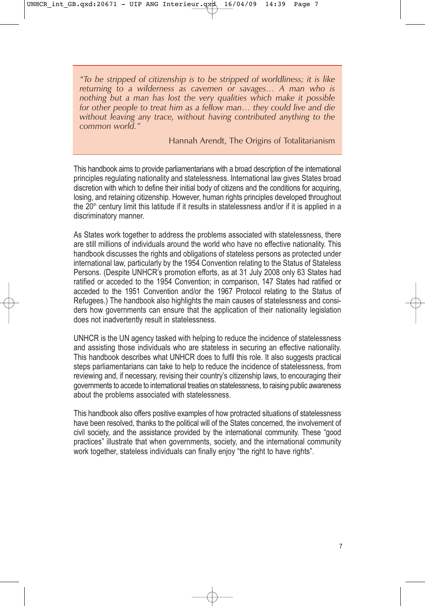*"To be stripped of citizenship is to be stripped of worldliness; it is like returning to a wilderness as cavemen or savages… A man who is nothing but a man has lost the very qualities which make it possible for other people to treat him as a fellow man… they could live and die without leaving any trace, without having contributed anything to the common world."*

Hannah Arendt, The Origins of Totalitarianism

This handbook aims to provide parliamentarians with a broad description of the international principles regulating nationality and statelessness. International law gives States broad discretion with which to define their initial body of citizens and the conditions for acquiring, losing, and retaining citizenship. However, human rights principles developed throughout the  $20<sup>th</sup>$  century limit this latitude if it results in statelessness and/or if it is applied in a discriminatory manner.

As States work together to address the problems associated with statelessness, there are still millions of individuals around the world who have no effective nationality. This handbook discusses the rights and obligations of stateless persons as protected under international law, particularly by the 1954 Convention relating to the Status of Stateless Persons. (Despite UNHCR's promotion efforts, as at 31 July 2008 only 63 States had ratified or acceded to the 1954 Convention; in comparison, 147 States had ratified or acceded to the 1951 Convention and/or the 1967 Protocol relating to the Status of Refugees.) The handbook also highlights the main causes of statelessness and considers how governments can ensure that the application of their nationality legislation does not inadvertently result in statelessness.

UNHCR is the UN agency tasked with helping to reduce the incidence of statelessness and assisting those individuals who are stateless in securing an effective nationality. This handbook describes what UNHCR does to fulfil this role. It also suggests practical steps parliamentarians can take to help to reduce the incidence of statelessness, from reviewing and, if necessary, revising their country's citizenship laws, to encouraging their governments to accede to international treaties on statelessness, to raising public awareness about the problems associated with statelessness.

This handbook also offers positive examples of how protracted situations of statelessness have been resolved, thanks to the political will of the States concerned, the involvement of civil society, and the assistance provided by the international community. These "good practices" illustrate that when governments, society, and the international community work together, stateless individuals can finally enjoy "the right to have rights".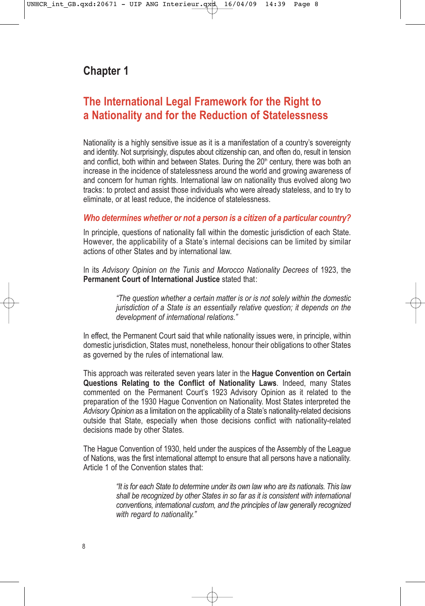# **Chapter 1**

# **The International Legal Framework for the Right to a Nationality and for the Reduction of Statelessness**

Nationality is a highly sensitive issue as it is a manifestation of a country's sovereignty and identity. Not surprisingly, disputes about citizenship can, and often do, result in tension and conflict, both within and between States. During the  $20<sup>th</sup>$  century, there was both an increase in the incidence of statelessness around the world and growing awareness of and concern for human rights. International law on nationality thus evolved along two tracks: to protect and assist those individuals who were already stateless, and to try to eliminate, or at least reduce, the incidence of statelessness.

#### *Who determines whether or not a person is a citizen of a particular country?*

In principle, questions of nationality fall within the domestic jurisdiction of each State. However, the applicability of a State's internal decisions can be limited by similar actions of other States and by international law.

In its *Advisory Opinion on the Tunis and Morocco Nationality Decrees* of 1923, the **Permanent Court of International Justice** stated that:

> *"The question whether a certain matter is or is not solely within the domestic jurisdiction of a State is an essentially relative question; it depends on the development of international relations."*

In effect, the Permanent Court said that while nationality issues were, in principle, within domestic jurisdiction, States must, nonetheless, honour their obligations to other States as governed by the rules of international law.

This approach was reiterated seven years later in the **Hague Convention on Certain Questions Relating to the Conflict of Nationality Laws**. Indeed, many States commented on the Permanent Court's 1923 Advisory Opinion as it related to the preparation of the 1930 Hague Convention on Nationality. Most States interpreted the *Advisory Opinion* as a limitation on the applicability of a State's nationality-related decisions outside that State, especially when those decisions conflict with nationality-related decisions made by other States.

The Hague Convention of 1930, held under the auspices of the Assembly of the League of Nations, was the first international attempt to ensure that all persons have a nationality. Article 1 of the Convention states that:

> *"It is for each State to determine under its own law who are its nationals. This law shall be recognized by other States in so far as it is consistent with international conventions, international custom, and the principles of law generally recognized with regard to nationality."*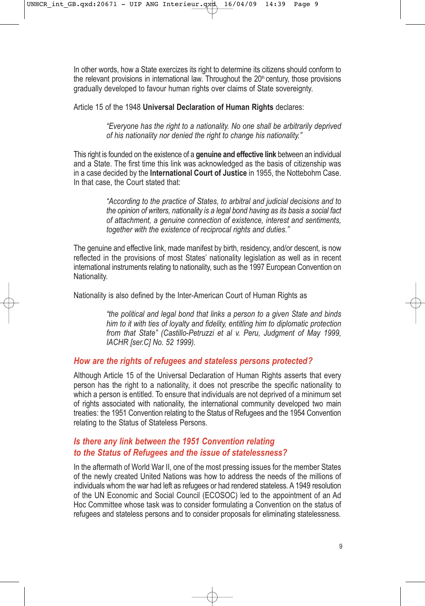In other words, how a State exercizes its right to determine its citizens should conform to the relevant provisions in international law. Throughout the  $20<sup>th</sup>$  century, those provisions gradually developed to favour human rights over claims of State sovereignty.

Article 15 of the 1948 **Universal Declaration of Human Rights** declares:

*"Everyone has the right to a nationality. No one shall be arbitrarily deprived of his nationality nor denied the right to change his nationality."*

This right is founded on the existence of a **genuine and effective link** between an individual and a State. The first time this link was acknowledged as the basis of citizenship was in a case decided by the **International Court of Justice** in 1955, the Nottebohm Case. In that case, the Court stated that:

> *"According to the practice of States, to arbitral and judicial decisions and to the opinion of writers, nationality is a legal bond having as its basis a social fact of attachment, a genuine connection of existence, interest and sentiments, together with the existence of reciprocal rights and duties."*

The genuine and effective link, made manifest by birth, residency, and/or descent, is now reflected in the provisions of most States' nationality legislation as well as in recent international instruments relating to nationality, such as the 1997 European Convention on Nationality.

Nationality is also defined by the Inter-American Court of Human Rights as

*"the political and legal bond that links a person to a given State and binds him to it with ties of loyalty and fidelity, entitling him to diplomatic protection from that State" (Castillo-Petruzzi et al v. Peru, Judgment of May 1999, IACHR [ser.C] No. 52 1999).*

#### *How are the rights of refugees and stateless persons protected?*

Although Article 15 of the Universal Declaration of Human Rights asserts that every person has the right to a nationality, it does not prescribe the specific nationality to which a person is entitled. To ensure that individuals are not deprived of a minimum set of rights associated with nationality, the international community developed two main treaties: the 1951 Convention relating to the Status of Refugees and the 1954 Convention relating to the Status of Stateless Persons.

# *Is there any link between the 1951 Convention relating to the Status of Refugees and the issue of statelessness?*

In the aftermath of World War II, one of the most pressing issues for the member States of the newly created United Nations was how to address the needs of the millions of individuals whom the war had left as refugees or had rendered stateless. A 1949 resolution of the UN Economic and Social Council (ECOSOC) led to the appointment of an Ad Hoc Committee whose task was to consider formulating a Convention on the status of refugees and stateless persons and to consider proposals for eliminating statelessness.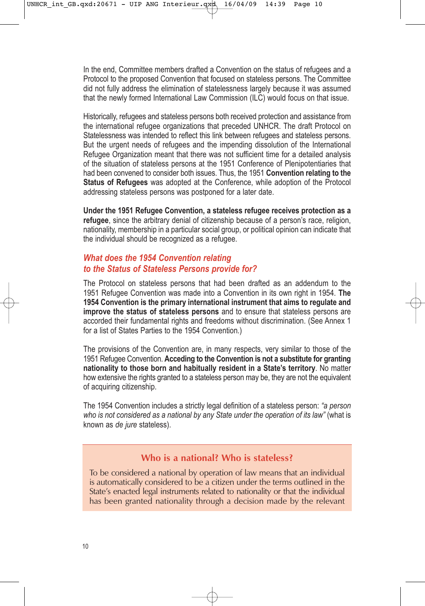In the end, Committee members drafted a Convention on the status of refugees and a Protocol to the proposed Convention that focused on stateless persons. The Committee did not fully address the elimination of statelessness largely because it was assumed that the newly formed International Law Commission (ILC) would focus on that issue.

Historically, refugees and stateless persons both received protection and assistance from the international refugee organizations that preceded UNHCR. The draft Protocol on Statelessness was intended to reflect this link between refugees and stateless persons. But the urgent needs of refugees and the impending dissolution of the International Refugee Organization meant that there was not sufficient time for a detailed analysis of the situation of stateless persons at the 1951 Conference of Plenipotentiaries that had been convened to consider both issues. Thus, the 1951 **Convention relating to the Status of Refugees** was adopted at the Conference, while adoption of the Protocol addressing stateless persons was postponed for a later date.

**Under the 1951 Refugee Convention, a stateless refugee receives protection as a refugee**, since the arbitrary denial of citizenship because of a person's race, religion, nationality, membership in a particular social group, or political opinion can indicate that the individual should be recognized as a refugee.

# *What does the 1954 Convention relating to the Status of Stateless Persons provide for?*

The Protocol on stateless persons that had been drafted as an addendum to the 1951 Refugee Convention was made into a Convention in its own right in 1954. **The 1954 Convention is the primary international instrument that aims to regulate and improve the status of stateless persons** and to ensure that stateless persons are accorded their fundamental rights and freedoms without discrimination. (See Annex 1 for a list of States Parties to the 1954 Convention.)

The provisions of the Convention are, in many respects, very similar to those of the 1951 Refugee Convention. **Acceding to the Convention is not a substitute for granting nationality to those born and habitually resident in a State's territory**. No matter how extensive the rights granted to a stateless person may be, they are not the equivalent of acquiring citizenship.

The 1954 Convention includes a strictly legal definition of a stateless person: *"a person who is not considered as a national by any State under the operation of its law"* (what is known as *de jure* stateless).

# **Who is a national? Who is stateless?**

To be considered a national by operation of law means that an individual is automatically considered to be a citizen under the terms outlined in the State's enacted legal instruments related to nationality or that the individual has been granted nationality through a decision made by the relevant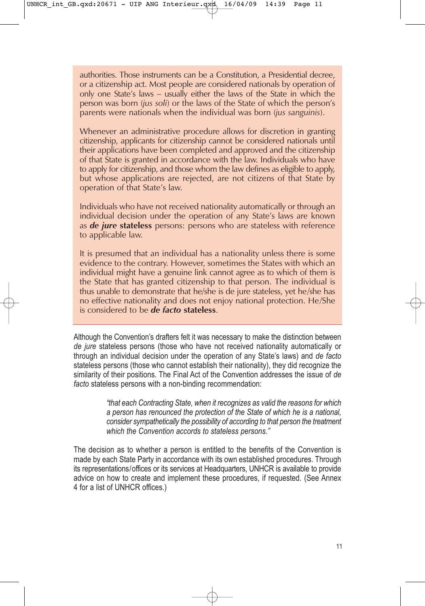authorities. Those instruments can be a Constitution, a Presidential decree, or a citizenship act. Most people are considered nationals by operation of only one State's laws – usually either the laws of the State in which the person was born (*jus soli*) or the laws of the State of which the person's parents were nationals when the individual was born (*jus sanguinis*).

Whenever an administrative procedure allows for discretion in granting citizenship, applicants for citizenship cannot be considered nationals until their applications have been completed and approved and the citizenship of that State is granted in accordance with the law. Individuals who have to apply for citizenship, and those whom the law defines as eligible to apply, but whose applications are rejected, are not citizens of that State by operation of that State's law.

Individuals who have not received nationality automatically or through an individual decision under the operation of any State's laws are known as *de jure* **stateless** persons: persons who are stateless with reference to applicable law.

It is presumed that an individual has a nationality unless there is some evidence to the contrary. However, sometimes the States with which an individual might have a genuine link cannot agree as to which of them is the State that has granted citizenship to that person. The individual is thus unable to demonstrate that he/she is de jure stateless, yet he/she has no effective nationality and does not enjoy national protection. He/She is considered to be *de facto* **stateless**.

Although the Convention's drafters felt it was necessary to make the distinction between *de jure* stateless persons (those who have not received nationality automatically or through an individual decision under the operation of any State's laws) and *de facto* stateless persons (those who cannot establish their nationality), they did recognize the similarity of their positions. The Final Act of the Convention addresses the issue of *de facto* stateless persons with a non-binding recommendation:

> *"that each Contracting State, when it recognizes as valid the reasons for which a person has renounced the protection of the State of which he is a national, consider sympathetically the possibility of according to that person the treatment which the Convention accords to stateless persons."*

The decision as to whether a person is entitled to the benefits of the Convention is made by each State Party in accordance with its own established procedures. Through its representations/offices or its services at Headquarters, UNHCR is available to provide advice on how to create and implement these procedures, if requested. (See Annex 4 for a list of UNHCR offices.)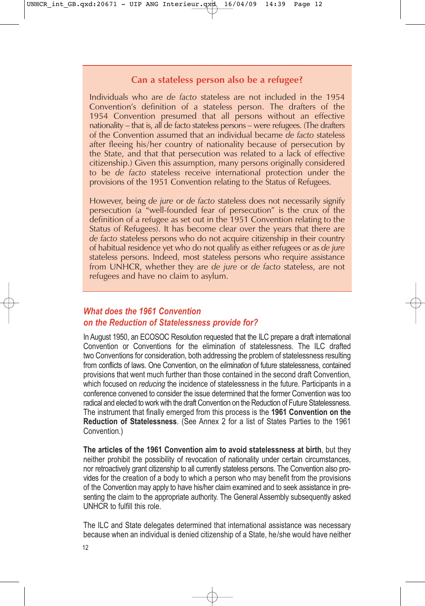### **Can a stateless person also be a refugee?**

Individuals who are *de facto* stateless are not included in the 1954 Convention's definition of a stateless person. The drafters of the 1954 Convention presumed that all persons without an effective nationality – that is, all de facto stateless persons – were refugees. (The drafters of the Convention assumed that an individual became *de facto* stateless after fleeing his/her country of nationality because of persecution by the State, and that that persecution was related to a lack of effective citizenship.) Given this assumption, many persons originally considered to be *de facto* stateless receive international protection under the provisions of the 1951 Convention relating to the Status of Refugees.

However, being *de jure* or *de facto* stateless does not necessarily signify persecution (a "well-founded fear of persecution" is the crux of the definition of a refugee as set out in the 1951 Convention relating to the Status of Refugees). It has become clear over the years that there are *de facto* stateless persons who do not acquire citizenship in their country of habitual residence yet who do not qualify as either refugees or as *de jure* stateless persons. Indeed, most stateless persons who require assistance from UNHCR, whether they are *de jure* or *de facto* stateless, are not refugees and have no claim to asylum.

# *What does the 1961 Convention on the Reduction of Statelessness provide for?*

In August 1950, an ECOSOC Resolution requested that the ILC prepare a draft international Convention or Conventions for the elimination of statelessness. The ILC drafted two Conventions for consideration, both addressing the problem of statelessness resulting from conflicts of laws. One Convention, on the *elimination* of future statelessness, contained provisions that went much further than those contained in the second draft Convention, which focused on *reducing* the incidence of statelessness in the future. Participants in a conference convened to consider the issue determined that the former Convention was too radical and elected to work with the draft Convention on the Reduction of Future Statelessness. The instrument that finally emerged from this process is the **1961 Convention on the Reduction of Statelessness**. (See Annex 2 for a list of States Parties to the 1961 Convention.)

**The articles of the 1961 Convention aim to avoid statelessness at birth**, but they neither prohibit the possibility of revocation of nationality under certain circumstances, nor retroactively grant citizenship to all currently stateless persons. The Convention also provides for the creation of a body to which a person who may benefit from the provisions of the Convention may apply to have his/her claim examined and to seek assistance in presenting the claim to the appropriate authority. The General Assembly subsequently asked UNHCR to fulfill this role.

The ILC and State delegates determined that international assistance was necessary because when an individual is denied citizenship of a State, he/she would have neither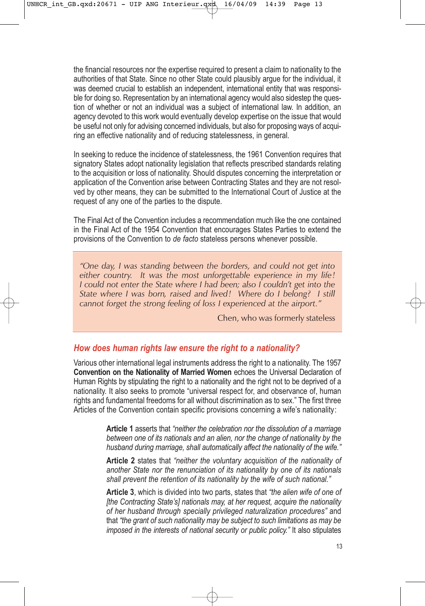the financial resources nor the expertise required to present a claim to nationality to the authorities of that State. Since no other State could plausibly argue for the individual, it was deemed crucial to establish an independent, international entity that was responsible for doing so. Representation by an international agency would also sidestep the question of whether or not an individual was a subject of international law. In addition, an agency devoted to this work would eventually develop expertise on the issue that would be useful not only for advising concerned individuals, but also for proposing ways of acquiring an effective nationality and of reducing statelessness, in general.

In seeking to reduce the incidence of statelessness, the 1961 Convention requires that signatory States adopt nationality legislation that reflects prescribed standards relating to the acquisition or loss of nationality. Should disputes concerning the interpretation or application of the Convention arise between Contracting States and they are not resolved by other means, they can be submitted to the International Court of Justice at the request of any one of the parties to the dispute.

The Final Act of the Convention includes a recommendation much like the one contained in the Final Act of the 1954 Convention that encourages States Parties to extend the provisions of the Convention to *de facto* stateless persons whenever possible.

*"One day, I was standing between the borders, and could not get into either country. It was the most unforgettable experience in my life! I could not enter the State where I had been; also I couldn't get into the State where I was born, raised and lived! Where do I belong? I still cannot forget the strong feeling of loss I experienced at the airport."*

Chen, who was formerly stateless

#### *How does human rights law ensure the right to a nationality?*

Various other international legal instruments address the right to a nationality. The 1957 **Convention on the Nationality of Married Women** echoes the Universal Declaration of Human Rights by stipulating the right to a nationality and the right not to be deprived of a nationality. It also seeks to promote "universal respect for, and observance of, human rights and fundamental freedoms for all without discrimination as to sex." The first three Articles of the Convention contain specific provisions concerning a wife's nationality:

> **Article 1** asserts that *"neither the celebration nor the dissolution of a marriage between one of its nationals and an alien, nor the change of nationality by the husband during marriage, shall automatically affect the nationality of the wife."*

> **Article 2** states that *"neither the voluntary acquisition of the nationality of another State nor the renunciation of its nationality by one of its nationals shall prevent the retention of its nationality by the wife of such national."*

> **Article 3**, which is divided into two parts, states that *"the alien wife of one of [the Contracting State's] nationals may, at her request, acquire the nationality of her husband through specially privileged naturalization procedures"* and that *"the grant of such nationality may be subject to such limitations as may be imposed in the interests of national security or public policy."* It also stipulates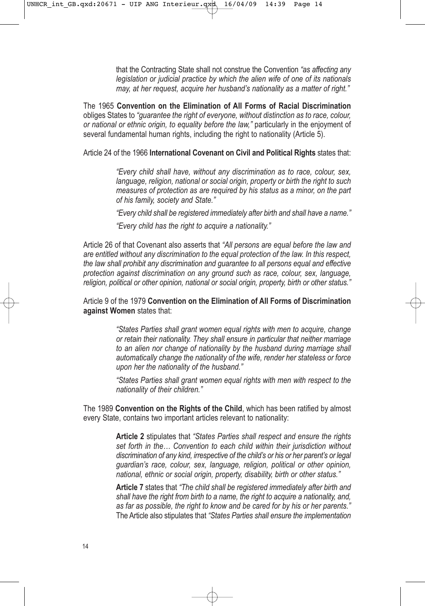that the Contracting State shall not construe the Convention *"as affecting any legislation or judicial practice by which the alien wife of one of its nationals may, at her request, acquire her husband's nationality as a matter of right."*

The 1965 **Convention on the Elimination of All Forms of Racial Discrimination** obliges States to *"guarantee the right of everyone, without distinction as to race, colour, or national or ethnic origin, to equality before the law,"* particularly in the enjoyment of several fundamental human rights, including the right to nationality (Article 5).

Article 24 of the 1966 **International Covenant on Civil and Political Rights** states that:

*"Every child shall have, without any discrimination as to race, colour, sex, language, religion, national or social origin, property or birth the right to such measures of protection as are required by his status as a minor, on the part of his family, society and State."*

*"Every child shall be registered immediately after birth and shall have a name."*

*"Every child has the right to acquire a nationality."*

Article 26 of that Covenant also asserts that *"All persons are equal before the law and are entitled without any discrimination to the equal protection of the law. In this respect, the law shall prohibit any discrimination and guarantee to all persons equal and effective protection against discrimination on any ground such as race, colour, sex, language, religion, political or other opinion, national or social origin, property, birth or other status."*

#### Article 9 of the 1979 **Convention on the Elimination of All Forms of Discrimination against Women** states that:

*"States Parties shall grant women equal rights with men to acquire, change or retain their nationality. They shall ensure in particular that neither marriage to an alien nor change of nationality by the husband during marriage shall automatically change the nationality of the wife, render her stateless or force upon her the nationality of the husband."*

*"States Parties shall grant women equal rights with men with respect to the nationality of their children."*

The 1989 **Convention on the Rights of the Child**, which has been ratified by almost every State, contains two important articles relevant to nationality:

> **Article 2** stipulates that *"States Parties shall respect and ensure the rights set forth in the… Convention to each child within their jurisdiction without discrimination of any kind, irrespective of the child's or his or her parent's or legal guardian's race, colour, sex, language, religion, political or other opinion, national, ethnic or social origin, property, disability, birth or other status."*

> **Article 7** states that *"The child shall be registered immediately after birth and shall have the right from birth to a name, the right to acquire a nationality, and, as far as possible, the right to know and be cared for by his or her parents."* The Article also stipulates that *"States Parties shall ensure the implementation*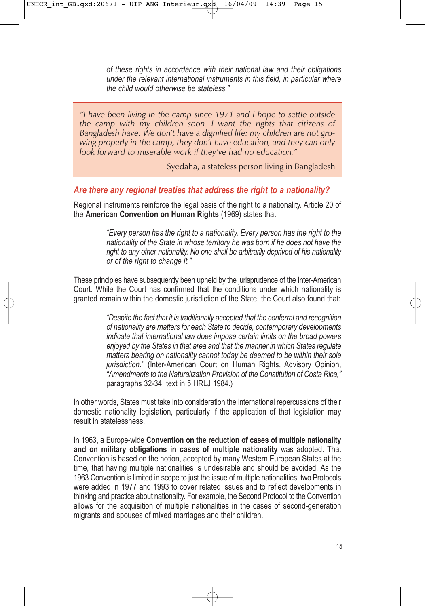*of these rights in accordance with their national law and their obligations under the relevant international instruments in this field, in particular where the child would otherwise be stateless."*

*"I have been living in the camp since 1971 and I hope to settle outside the camp with my children soon. I want the rights that citizens of Bangladesh have. We don't have a dignified life: my children are not growing properly in the camp, they don't have education, and they can only look forward to miserable work if they've had no education."*

Syedaha, a stateless person living in Bangladesh

### *Are there any regional treaties that address the right to a nationality?*

Regional instruments reinforce the legal basis of the right to a nationality. Article 20 of the **American Convention on Human Rights** (1969) states that:

> *"Every person has the right to a nationality. Every person has the right to the nationality of the State in whose territory he was born if he does not have the right to any other nationality. No one shall be arbitrarily deprived of his nationality or of the right to change it."*

These principles have subsequently been upheld by the jurisprudence of the Inter-American Court. While the Court has confirmed that the conditions under which nationality is granted remain within the domestic jurisdiction of the State, the Court also found that:

> *"Despite the fact that it is traditionally accepted that the conferral and recognition of nationality are matters for each State to decide, contemporary developments indicate that international law does impose certain limits on the broad powers enjoyed by the States in that area and that the manner in which States regulate matters bearing on nationality cannot today be deemed to be within their sole jurisdiction."* (Inter-American Court on Human Rights, Advisory Opinion, *"Amendments to the Naturalization Provision of the Constitution of Costa Rica,"* paragraphs 32-34; text in 5 HRLJ 1984.)

In other words, States must take into consideration the international repercussions of their domestic nationality legislation, particularly if the application of that legislation may result in statelessness.

In 1963, a Europe-wide **Convention on the reduction of cases of multiple nationality and on military obligations in cases of multiple nationality** was adopted. That Convention is based on the notion, accepted by many Western European States at the time, that having multiple nationalities is undesirable and should be avoided. As the 1963 Convention is limited in scope to just the issue of multiple nationalities, two Protocols were added in 1977 and 1993 to cover related issues and to reflect developments in thinking and practice about nationality. For example, the Second Protocol to the Convention allows for the acquisition of multiple nationalities in the cases of second-generation migrants and spouses of mixed marriages and their children.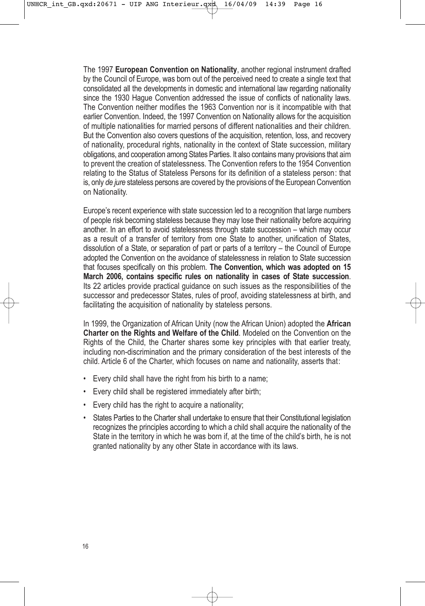The 1997 **European Convention on Nationality**, another regional instrument drafted by the Council of Europe, was born out of the perceived need to create a single text that consolidated all the developments in domestic and international law regarding nationality since the 1930 Hague Convention addressed the issue of conflicts of nationality laws. The Convention neither modifies the 1963 Convention nor is it incompatible with that earlier Convention. Indeed, the 1997 Convention on Nationality allows for the acquisition of multiple nationalities for married persons of different nationalities and their children. But the Convention also covers questions of the acquisition, retention, loss, and recovery of nationality, procedural rights, nationality in the context of State succession, military obligations, and cooperation among States Parties. It also contains many provisions that aim to prevent the creation of statelessness. The Convention refers to the 1954 Convention relating to the Status of Stateless Persons for its definition of a stateless person: that is, only *de jure* stateless persons are covered by the provisions of the European Convention on Nationality.

Europe's recent experience with state succession led to a recognition that large numbers of people risk becoming stateless because they may lose their nationality before acquiring another. In an effort to avoid statelessness through state succession – which may occur as a result of a transfer of territory from one State to another, unification of States, dissolution of a State, or separation of part or parts of a territory – the Council of Europe adopted the Convention on the avoidance of statelessness in relation to State succession that focuses specifically on this problem. **The Convention, which was adopted on 15 March 2006, contains specific rules on nationality in cases of State succession**. Its 22 articles provide practical guidance on such issues as the responsibilities of the successor and predecessor States, rules of proof, avoiding statelessness at birth, and facilitating the acquisition of nationality by stateless persons.

In 1999, the Organization of African Unity (now the African Union) adopted the **African Charter on the Rights and Welfare of the Child**. Modeled on the Convention on the Rights of the Child, the Charter shares some key principles with that earlier treaty, including non-discrimination and the primary consideration of the best interests of the child. Article 6 of the Charter, which focuses on name and nationality, asserts that:

- Every child shall have the right from his birth to a name;
- Every child shall be registered immediately after birth;
- Every child has the right to acquire a nationality;
- States Parties to the Charter shall undertake to ensure that their Constitutional legislation recognizes the principles according to which a child shall acquire the nationality of the State in the territory in which he was born if, at the time of the child's birth, he is not granted nationality by any other State in accordance with its laws.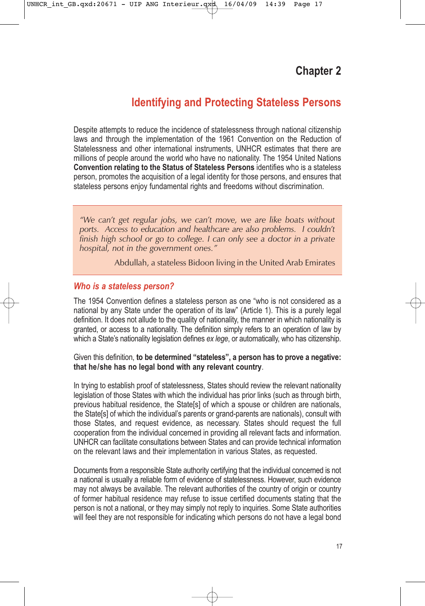# **Identifying and Protecting Stateless Persons**

Despite attempts to reduce the incidence of statelessness through national citizenship laws and through the implementation of the 1961 Convention on the Reduction of Statelessness and other international instruments, UNHCR estimates that there are millions of people around the world who have no nationality. The 1954 United Nations **Convention relating to the Status of Stateless Persons** identifies who is a stateless person, promotes the acquisition of a legal identity for those persons, and ensures that stateless persons enjoy fundamental rights and freedoms without discrimination.

*"We can't get regular jobs, we can't move, we are like boats without ports. Access to education and healthcare are also problems. I couldn't finish high school or go to college. I can only see a doctor in a private hospital, not in the government ones."*

Abdullah, a stateless Bidoon living in the United Arab Emirates

#### *Who is a stateless person?*

The 1954 Convention defines a stateless person as one "who is not considered as a national by any State under the operation of its law" (Article 1). This is a purely legal definition. It does not allude to the quality of nationality, the manner in which nationality is granted, or access to a nationality. The definition simply refers to an operation of law by which a State's nationality legislation defines *ex lege*, or automatically, who has citizenship.

#### Given this definition, **to be determined "stateless", a person has to prove a negative: that he/she has no legal bond with any relevant country**.

In trying to establish proof of statelessness, States should review the relevant nationality legislation of those States with which the individual has prior links (such as through birth, previous habitual residence, the State[s] of which a spouse or children are nationals, the State[s] of which the individual's parents or grand-parents are nationals), consult with those States, and request evidence, as necessary. States should request the full cooperation from the individual concerned in providing all relevant facts and information. UNHCR can facilitate consultations between States and can provide technical information on the relevant laws and their implementation in various States, as requested.

Documents from a responsible State authority certifying that the individual concerned is not a national is usually a reliable form of evidence of statelessness. However, such evidence may not always be available. The relevant authorities of the country of origin or country of former habitual residence may refuse to issue certified documents stating that the person is not a national, or they may simply not reply to inquiries. Some State authorities will feel they are not responsible for indicating which persons do not have a legal bond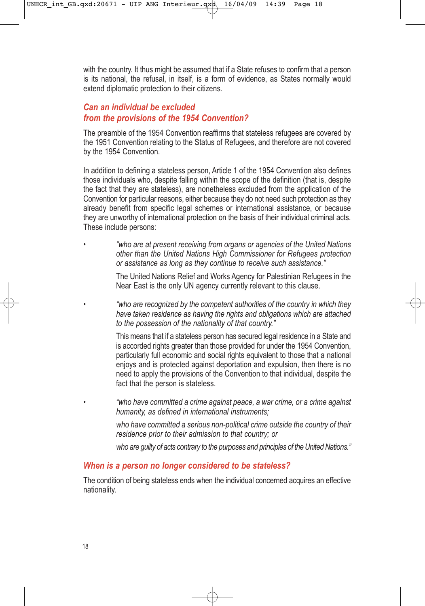with the country. It thus might be assumed that if a State refuses to confirm that a person is its national, the refusal, in itself, is a form of evidence, as States normally would extend diplomatic protection to their citizens.

# *Can an individual be excluded from the provisions of the 1954 Convention?*

The preamble of the 1954 Convention reaffirms that stateless refugees are covered by the 1951 Convention relating to the Status of Refugees, and therefore are not covered by the 1954 Convention.

In addition to defining a stateless person, Article 1 of the 1954 Convention also defines those individuals who, despite falling within the scope of the definition (that is, despite the fact that they are stateless), are nonetheless excluded from the application of the Convention for particular reasons, either because they do not need such protection as they already benefit from specific legal schemes or international assistance, or because they are unworthy of international protection on the basis of their individual criminal acts. These include persons:

• *"who are at present receiving from organs or agencies of the United Nations other than the United Nations High Commissioner for Refugees protection or assistance as long as they continue to receive such assistance."*

> The United Nations Relief and Works Agency for Palestinian Refugees in the Near East is the only UN agency currently relevant to this clause.

> • *"who are recognized by the competent authorities of the country in which they have taken residence as having the rights and obligations which are attached to the possession of the nationality of that country."*

> This means that if a stateless person has secured legal residence in a State and is accorded rights greater than those provided for under the 1954 Convention, particularly full economic and social rights equivalent to those that a national enjoys and is protected against deportation and expulsion, then there is no need to apply the provisions of the Convention to that individual, despite the fact that the person is stateless.

• *"who have committed a crime against peace, a war crime, or a crime against humanity, as defined in international instruments;* 

*who have committed a serious non-political crime outside the country of their residence prior to their admission to that country; or*

*who are guilty of acts contrary to the purposes and principles of the United Nations."*

#### *When is a person no longer considered to be stateless?*

The condition of being stateless ends when the individual concerned acquires an effective nationality.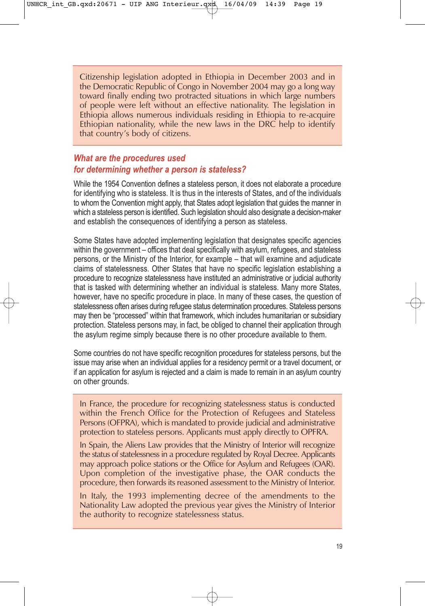Citizenship legislation adopted in Ethiopia in December 2003 and in the Democratic Republic of Congo in November 2004 may go a long way toward finally ending two protracted situations in which large numbers of people were left without an effective nationality. The legislation in Ethiopia allows numerous individuals residing in Ethiopia to re-acquire Ethiopian nationality, while the new laws in the DRC help to identify that country's body of citizens.

# *What are the procedures used for determining whether a person is stateless?*

While the 1954 Convention defines a stateless person, it does not elaborate a procedure for identifying who is stateless. It is thus in the interests of States, and of the individuals to whom the Convention might apply, that States adopt legislation that guides the manner in which a stateless person is identified. Such legislation should also designate a decision-maker and establish the consequences of identifying a person as stateless.

Some States have adopted implementing legislation that designates specific agencies within the government – offices that deal specifically with asylum, refugees, and stateless persons, or the Ministry of the Interior, for example – that will examine and adjudicate claims of statelessness. Other States that have no specific legislation establishing a procedure to recognize statelessness have instituted an administrative or judicial authority that is tasked with determining whether an individual is stateless. Many more States, however, have no specific procedure in place. In many of these cases, the question of statelessness often arises during refugee status determination procedures. Stateless persons may then be "processed" within that framework, which includes humanitarian or subsidiary protection. Stateless persons may, in fact, be obliged to channel their application through the asylum regime simply because there is no other procedure available to them.

Some countries do not have specific recognition procedures for stateless persons, but the issue may arise when an individual applies for a residency permit or a travel document, or if an application for asylum is rejected and a claim is made to remain in an asylum country on other grounds.

In France, the procedure for recognizing statelessness status is conducted within the French Office for the Protection of Refugees and Stateless Persons (OFPRA), which is mandated to provide judicial and administrative protection to stateless persons. Applicants must apply directly to OPFRA.

In Spain, the Aliens Law provides that the Ministry of Interior will recognize the status of statelessness in a procedure regulated by Royal Decree. Applicants may approach police stations or the Office for Asylum and Refugees (OAR). Upon completion of the investigative phase, the OAR conducts the procedure, then forwards its reasoned assessment to the Ministry of Interior.

In Italy, the 1993 implementing decree of the amendments to the Nationality Law adopted the previous year gives the Ministry of Interior the authority to recognize statelessness status.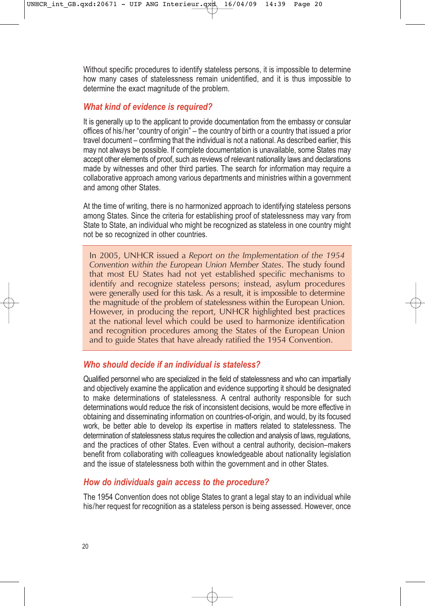Without specific procedures to identify stateless persons, it is impossible to determine how many cases of statelessness remain unidentified, and it is thus impossible to determine the exact magnitude of the problem.

# *What kind of evidence is required?*

It is generally up to the applicant to provide documentation from the embassy or consular offices of his/her "country of origin" – the country of birth or a country that issued a prior travel document – confirming that the individual is not a national. As described earlier, this may not always be possible. If complete documentation is unavailable, some States may accept other elements of proof, such as reviews of relevant nationality laws and declarations made by witnesses and other third parties. The search for information may require a collaborative approach among various departments and ministries within a government and among other States.

At the time of writing, there is no harmonized approach to identifying stateless persons among States. Since the criteria for establishing proof of statelessness may vary from State to State, an individual who might be recognized as stateless in one country might not be so recognized in other countries.

In 2005, UNHCR issued a *Report on the Implementation of the 1954 Convention within the European Union Member States*. The study found that most EU States had not yet established specific mechanisms to identify and recognize stateless persons; instead, asylum procedures were generally used for this task. As a result, it is impossible to determine the magnitude of the problem of statelessness within the European Union. However, in producing the report, UNHCR highlighted best practices at the national level which could be used to harmonize identification and recognition procedures among the States of the European Union and to guide States that have already ratified the 1954 Convention.

# *Who should decide if an individual is stateless?*

Qualified personnel who are specialized in the field of statelessness and who can impartially and objectively examine the application and evidence supporting it should be designated to make determinations of statelessness. A central authority responsible for such determinations would reduce the risk of inconsistent decisions, would be more effective in obtaining and disseminating information on countries-of-origin, and would, by its focused work, be better able to develop its expertise in matters related to statelessness. The determination of statelessness status requires the collection and analysis of laws, regulations, and the practices of other States. Even without a central authority, decision–makers benefit from collaborating with colleagues knowledgeable about nationality legislation and the issue of statelessness both within the government and in other States.

# *How do individuals gain access to the procedure?*

The 1954 Convention does not oblige States to grant a legal stay to an individual while his/her request for recognition as a stateless person is being assessed. However, once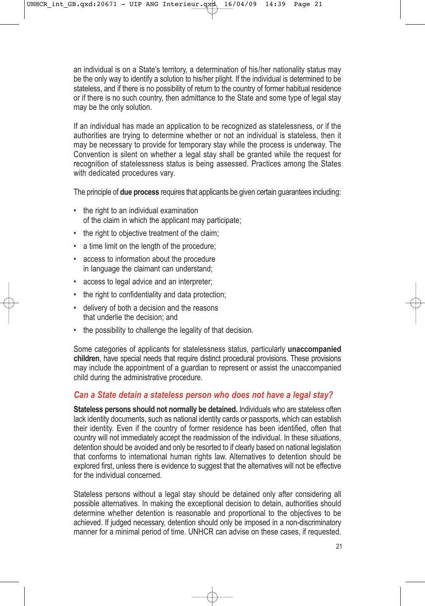an individual is on a State's territory, a determination of his/her nationality status may be the only way to identify a solution to his/her plight. If the individual is determined to be stateless, and if there is no possibility of return to the country of former habitual residence or if there is no such country, then admittance to the State and some type of legal stay may be the only solution.

If an individual has made an application to be recognized as statelessness, or if the authorities are trying to determine whether or not an individual is stateless, then it may be necessary to provide for temporary stay while the process is underway. The Convention is silent on whether a legal stay shall be granted while the request for recognition of statelessness status is being assessed. Practices among the States with dedicated procedures vary.

The principle of **due process** requires that applicants be given certain guarantees including:

- the right to an individual examination of the claim in which the applicant may participate;
- the right to objective treatment of the claim;
- a time limit on the length of the procedure;
- access to information about the procedure in language the claimant can understand;
- access to legal advice and an interpreter;
- the right to confidentiality and data protection;
- delivery of both a decision and the reasons that underlie the decision; and
- the possibility to challenge the legality of that decision.

Some categories of applicants for statelessness status, particularly **unaccompanied children**, have special needs that require distinct procedural provisions. These provisions may include the appointment of a guardian to represent or assist the unaccompanied child during the administrative procedure.

#### *Can a State detain a stateless person who does not have a legal stay?*

**Stateless persons should not normally be detained.** Individuals who are stateless often lack identity documents, such as national identity cards or passports, which can establish their identity. Even if the country of former residence has been identified, often that country will not immediately accept the readmission of the individual. In these situations, detention should be avoided and only be resorted to if clearly based on national legislation that conforms to international human rights law. Alternatives to detention should be explored first, unless there is evidence to suggest that the alternatives will not be effective for the individual concerned.

Stateless persons without a legal stay should be detained only after considering all possible alternatives. In making the exceptional decision to detain, authorities should determine whether detention is reasonable and proportional to the objectives to be achieved. If judged necessary, detention should only be imposed in a non-discriminatory manner for a minimal period of time. UNHCR can advise on these cases, if requested.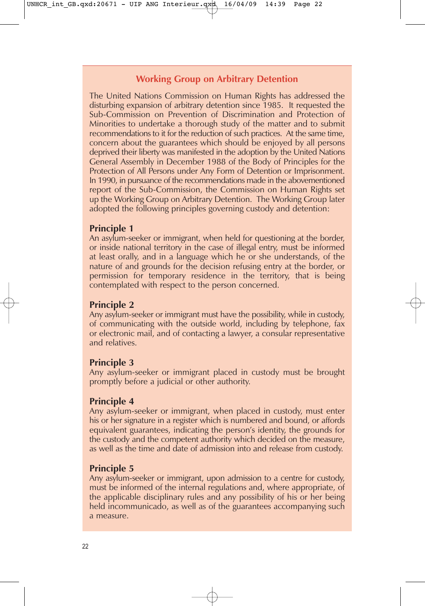# **Working Group on Arbitrary Detention**

The United Nations Commission on Human Rights has addressed the disturbing expansion of arbitrary detention since 1985. It requested the Sub-Commission on Prevention of Discrimination and Protection of Minorities to undertake a thorough study of the matter and to submit recommendations to it for the reduction of such practices. At the same time, concern about the guarantees which should be enjoyed by all persons deprived their liberty was manifested in the adoption by the United Nations General Assembly in December 1988 of the Body of Principles for the Protection of All Persons under Any Form of Detention or Imprisonment. In 1990, in pursuance of the recommendations made in the abovementioned report of the Sub-Commission, the Commission on Human Rights set up the Working Group on Arbitrary Detention. The Working Group later adopted the following principles governing custody and detention:

# **Principle 1**

An asylum-seeker or immigrant, when held for questioning at the border, or inside national territory in the case of illegal entry, must be informed at least orally, and in a language which he or she understands, of the nature of and grounds for the decision refusing entry at the border, or permission for temporary residence in the territory, that is being contemplated with respect to the person concerned.

# **Principle 2**

Any asylum-seeker or immigrant must have the possibility, while in custody, of communicating with the outside world, including by telephone, fax or electronic mail, and of contacting a lawyer, a consular representative and relatives.

# **Principle 3**

Any asylum-seeker or immigrant placed in custody must be brought promptly before a judicial or other authority.

# **Principle 4**

Any asylum-seeker or immigrant, when placed in custody, must enter his or her signature in a register which is numbered and bound, or affords equivalent guarantees, indicating the person's identity, the grounds for the custody and the competent authority which decided on the measure, as well as the time and date of admission into and release from custody.

# **Principle 5**

Any asylum-seeker or immigrant, upon admission to a centre for custody, must be informed of the internal regulations and, where appropriate, of the applicable disciplinary rules and any possibility of his or her being held incommunicado, as well as of the guarantees accompanying such a measure.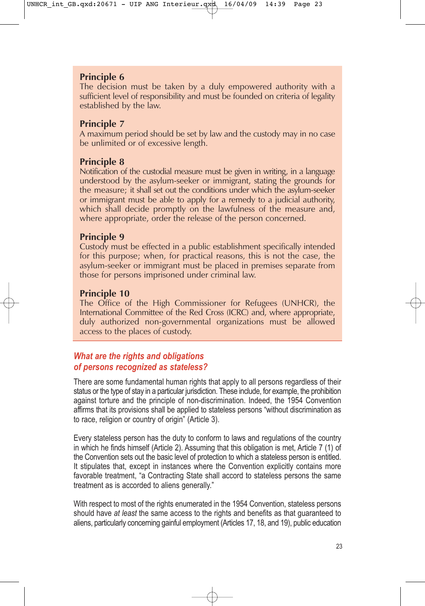# **Principle 6**

The decision must be taken by a duly empowered authority with a sufficient level of responsibility and must be founded on criteria of legality established by the law.

# **Principle 7**

A maximum period should be set by law and the custody may in no case be unlimited or of excessive length.

# **Principle 8**

Notification of the custodial measure must be given in writing, in a language understood by the asylum-seeker or immigrant, stating the grounds for the measure; it shall set out the conditions under which the asylum-seeker or immigrant must be able to apply for a remedy to a judicial authority, which shall decide promptly on the lawfulness of the measure and, where appropriate, order the release of the person concerned.

# **Principle 9**

Custody must be effected in a public establishment specifically intended for this purpose; when, for practical reasons, this is not the case, the asylum-seeker or immigrant must be placed in premises separate from those for persons imprisoned under criminal law.

# **Principle 10**

The Office of the High Commissioner for Refugees (UNHCR), the International Committee of the Red Cross (ICRC) and, where appropriate, duly authorized non-governmental organizations must be allowed access to the places of custody.

# *What are the rights and obligations of persons recognized as stateless?*

There are some fundamental human rights that apply to all persons regardless of their status or the type of stay in a particular jurisdiction. These include, for example, the prohibition against torture and the principle of non-discrimination. Indeed, the 1954 Convention affirms that its provisions shall be applied to stateless persons "without discrimination as to race, religion or country of origin" (Article 3).

Every stateless person has the duty to conform to laws and regulations of the country in which he finds himself (Article 2). Assuming that this obligation is met, Article 7 (1) of the Convention sets out the basic level of protection to which a stateless person is entitled. It stipulates that, except in instances where the Convention explicitly contains more favorable treatment, "a Contracting State shall accord to stateless persons the same treatment as is accorded to aliens generally."

With respect to most of the rights enumerated in the 1954 Convention, stateless persons should have *at least* the same access to the rights and benefits as that guaranteed to aliens, particularly concerning gainful employment (Articles 17, 18, and 19), public education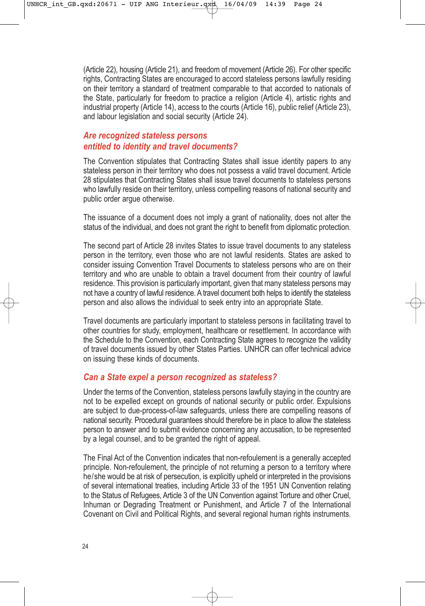(Article 22), housing (Article 21), and freedom of movement (Article 26). For other specific rights, Contracting States are encouraged to accord stateless persons lawfully residing on their territory a standard of treatment comparable to that accorded to nationals of the State, particularly for freedom to practice a religion (Article 4), artistic rights and industrial property (Article 14), access to the courts (Article 16), public relief (Article 23), and labour legislation and social security (Article 24).

# *Are recognized stateless persons entitled to identity and travel documents?*

The Convention stipulates that Contracting States shall issue identity papers to any stateless person in their territory who does not possess a valid travel document. Article 28 stipulates that Contracting States shall issue travel documents to stateless persons who lawfully reside on their territory, unless compelling reasons of national security and public order argue otherwise.

The issuance of a document does not imply a grant of nationality, does not alter the status of the individual, and does not grant the right to benefit from diplomatic protection.

The second part of Article 28 invites States to issue travel documents to any stateless person in the territory, even those who are not lawful residents. States are asked to consider issuing Convention Travel Documents to stateless persons who are on their territory and who are unable to obtain a travel document from their country of lawful residence. This provision is particularly important, given that many stateless persons may not have a country of lawful residence. A travel document both helps to identify the stateless person and also allows the individual to seek entry into an appropriate State.

Travel documents are particularly important to stateless persons in facilitating travel to other countries for study, employment, healthcare or resettlement. In accordance with the Schedule to the Convention, each Contracting State agrees to recognize the validity of travel documents issued by other States Parties. UNHCR can offer technical advice on issuing these kinds of documents.

#### *Can a State expel a person recognized as stateless?*

Under the terms of the Convention, stateless persons lawfully staying in the country are not to be expelled except on grounds of national security or public order. Expulsions are subject to due-process-of-law safeguards, unless there are compelling reasons of national security. Procedural guarantees should therefore be in place to allow the stateless person to answer and to submit evidence concerning any accusation, to be represented by a legal counsel, and to be granted the right of appeal.

The Final Act of the Convention indicates that non-refoulement is a generally accepted principle. Non-refoulement, the principle of not returning a person to a territory where he/she would be at risk of persecution, is explicitly upheld or interpreted in the provisions of several international treaties, including Article 33 of the 1951 UN Convention relating to the Status of Refugees, Article 3 of the UN Convention against Torture and other Cruel, Inhuman or Degrading Treatment or Punishment, and Article 7 of the International Covenant on Civil and Political Rights, and several regional human rights instruments.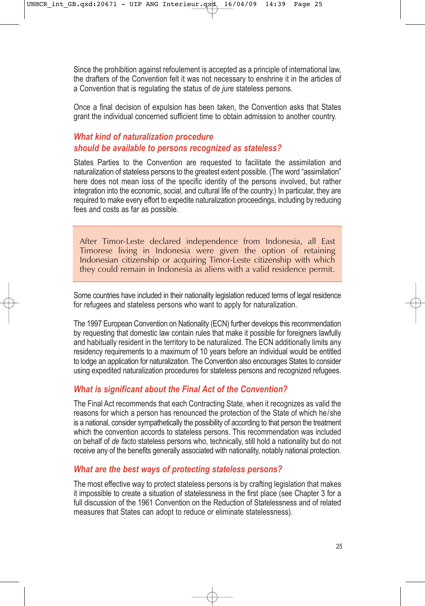Since the prohibition against refoulement is accepted as a principle of international law, the drafters of the Convention felt it was not necessary to enshrine it in the articles of a Convention that is regulating the status of *de jure* stateless persons.

Once a final decision of expulsion has been taken, the Convention asks that States grant the individual concerned sufficient time to obtain admission to another country.

# *What kind of naturalization procedure should be available to persons recognized as stateless?*

States Parties to the Convention are requested to facilitate the assimilation and naturalization of stateless persons to the greatest extent possible. (The word "assimilation" here does not mean loss of the specific identity of the persons involved, but rather integration into the economic, social, and cultural life of the country.) In particular, they are required to make every effort to expedite naturalization proceedings, including by reducing fees and costs as far as possible.

After Timor-Leste declared independence from Indonesia, all East Timorese living in Indonesia were given the option of retaining Indonesian citizenship or acquiring Timor-Leste citizenship with which they could remain in Indonesia as aliens with a valid residence permit.

Some countries have included in their nationality legislation reduced terms of legal residence for refugees and stateless persons who want to apply for naturalization.

The 1997 European Convention on Nationality (ECN) further develops this recommendation by requesting that domestic law contain rules that make it possible for foreigners lawfully and habitually resident in the territory to be naturalized. The ECN additionally limits any residency requirements to a maximum of 10 years before an individual would be entitled to lodge an application for naturalization. The Convention also encourages States to consider using expedited naturalization procedures for stateless persons and recognized refugees.

# *What is significant about the Final Act of the Convention?*

The Final Act recommends that each Contracting State, when it recognizes as valid the reasons for which a person has renounced the protection of the State of which he/she is a national, consider sympathetically the possibility of according to that person the treatment which the convention accords to stateless persons. This recommendation was included on behalf of *de facto* stateless persons who, technically, still hold a nationality but do not receive any of the benefits generally associated with nationality, notably national protection.

# *What are the best ways of protecting stateless persons?*

The most effective way to protect stateless persons is by crafting legislation that makes it impossible to create a situation of statelessness in the first place (see Chapter 3 for a full discussion of the 1961 Convention on the Reduction of Statelessness and of related measures that States can adopt to reduce or eliminate statelessness).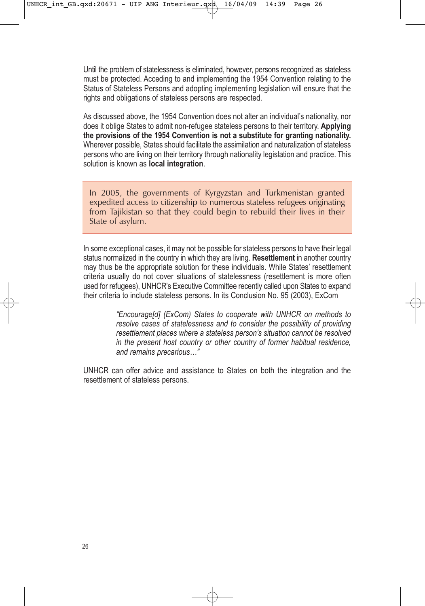Until the problem of statelessness is eliminated, however, persons recognized as stateless must be protected. Acceding to and implementing the 1954 Convention relating to the Status of Stateless Persons and adopting implementing legislation will ensure that the rights and obligations of stateless persons are respected.

As discussed above, the 1954 Convention does not alter an individual's nationality, nor does it oblige States to admit non-refugee stateless persons to their territory. **Applying the provisions of the 1954 Convention is not a substitute for granting nationality.** Wherever possible, States should facilitate the assimilation and naturalization of stateless persons who are living on their territory through nationality legislation and practice. This solution is known as **local integration**.

In 2005, the governments of Kyrgyzstan and Turkmenistan granted expedited access to citizenship to numerous stateless refugees originating from Tajikistan so that they could begin to rebuild their lives in their State of asylum.

In some exceptional cases, it may not be possible for stateless persons to have their legal status normalized in the country in which they are living. **Resettlement** in another country may thus be the appropriate solution for these individuals. While States' resettlement criteria usually do not cover situations of statelessness (resettlement is more often used for refugees), UNHCR's Executive Committee recently called upon States to expand their criteria to include stateless persons. In its Conclusion No. 95 (2003), ExCom

> *"Encourage[d] (ExCom) States to cooperate with UNHCR on methods to resolve cases of statelessness and to consider the possibility of providing resettlement places where a stateless person's situation cannot be resolved in the present host country or other country of former habitual residence, and remains precarious…"*

UNHCR can offer advice and assistance to States on both the integration and the resettlement of stateless persons.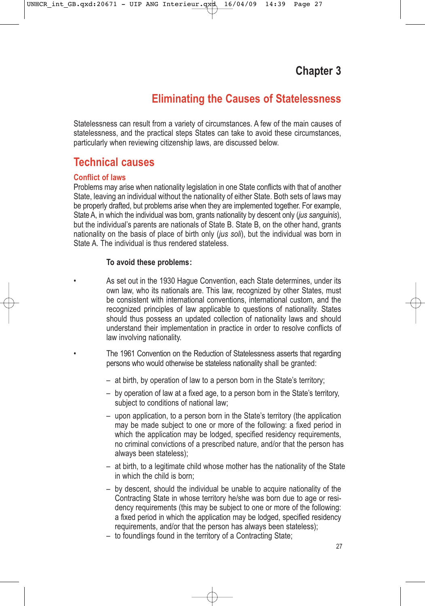# **Eliminating the Causes of Statelessness**

Statelessness can result from a variety of circumstances. A few of the main causes of statelessness, and the practical steps States can take to avoid these circumstances, particularly when reviewing citizenship laws, are discussed below.

# **Technical causes**

#### **Conflict of laws**

Problems may arise when nationality legislation in one State conflicts with that of another State, leaving an individual without the nationality of either State. Both sets of laws may be properly drafted, but problems arise when they are implemented together. For example, State A, in which the individual was born, grants nationality by descent only (*jus sanguinis*), but the individual's parents are nationals of State B. State B, on the other hand, grants nationality on the basis of place of birth only (*jus soli*), but the individual was born in State A. The individual is thus rendered stateless.

#### **To avoid these problems:**

As set out in the 1930 Haque Convention, each State determines, under its own law, who its nationals are. This law, recognized by other States, must be consistent with international conventions, international custom, and the recognized principles of law applicable to questions of nationality. States should thus possess an updated collection of nationality laws and should understand their implementation in practice in order to resolve conflicts of law involving nationality.

• The 1961 Convention on the Reduction of Statelessness asserts that regarding persons who would otherwise be stateless nationality shall be granted:

- at birth, by operation of law to a person born in the State's territory;
- by operation of law at a fixed age, to a person born in the State's territory, subject to conditions of national law:
- upon application, to a person born in the State's territory (the application may be made subject to one or more of the following: a fixed period in which the application may be lodged, specified residency requirements, no criminal convictions of a prescribed nature, and/or that the person has always been stateless);
- at birth, to a legitimate child whose mother has the nationality of the State in which the child is born;
- by descent, should the individual be unable to acquire nationality of the Contracting State in whose territory he/she was born due to age or residency requirements (this may be subject to one or more of the following: a fixed period in which the application may be lodged, specified residency requirements, and/or that the person has always been stateless);
- to foundlings found in the territory of a Contracting State;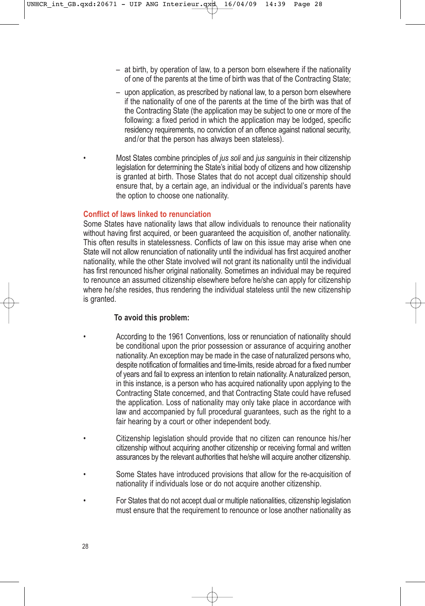- at birth, by operation of law, to a person born elsewhere if the nationality of one of the parents at the time of birth was that of the Contracting State;
- upon application, as prescribed by national law, to a person born elsewhere if the nationality of one of the parents at the time of the birth was that of the Contracting State (the application may be subject to one or more of the following: a fixed period in which the application may be lodged, specific residency requirements, no conviction of an offence against national security, and/or that the person has always been stateless).
- Most States combine principles of *jus soli* and *jus sanguinis* in their citizenship legislation for determining the State's initial body of citizens and how citizenship is granted at birth. Those States that do not accept dual citizenship should ensure that, by a certain age, an individual or the individual's parents have the option to choose one nationality.

#### **Conflict of laws linked to renunciation**

Some States have nationality laws that allow individuals to renounce their nationality without having first acquired, or been guaranteed the acquisition of, another nationality. This often results in statelessness. Conflicts of law on this issue may arise when one State will not allow renunciation of nationality until the individual has first acquired another nationality, while the other State involved will not grant its nationality until the individual has first renounced his/her original nationality. Sometimes an individual may be required to renounce an assumed citizenship elsewhere before he/she can apply for citizenship where he/she resides, thus rendering the individual stateless until the new citizenship is granted.

#### **To avoid this problem:**

- According to the 1961 Conventions, loss or renunciation of nationality should be conditional upon the prior possession or assurance of acquiring another nationality. An exception may be made in the case of naturalized persons who, despite notification of formalities and time-limits, reside abroad for a fixed number of years and fail to express an intention to retain nationality. A naturalized person, in this instance, is a person who has acquired nationality upon applying to the Contracting State concerned, and that Contracting State could have refused the application. Loss of nationality may only take place in accordance with law and accompanied by full procedural guarantees, such as the right to a fair hearing by a court or other independent body.
- Citizenship legislation should provide that no citizen can renounce his/her citizenship without acquiring another citizenship or receiving formal and written assurances by the relevant authorities that he/she will acquire another citizenship.
- Some States have introduced provisions that allow for the re-acquisition of nationality if individuals lose or do not acquire another citizenship.
- For States that do not accept dual or multiple nationalities, citizenship legislation must ensure that the requirement to renounce or lose another nationality as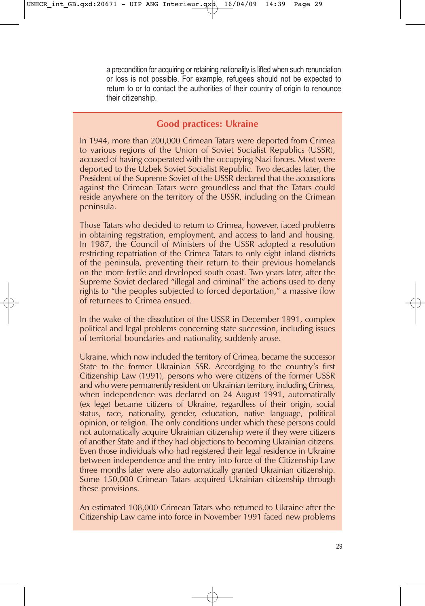a precondition for acquiring or retaining nationality is lifted when such renunciation or loss is not possible. For example, refugees should not be expected to return to or to contact the authorities of their country of origin to renounce their citizenship.

# **Good practices: Ukraine**

In 1944, more than 200,000 Crimean Tatars were deported from Crimea to various regions of the Union of Soviet Socialist Republics (USSR), accused of having cooperated with the occupying Nazi forces. Most were deported to the Uzbek Soviet Socialist Republic. Two decades later, the President of the Supreme Soviet of the USSR declared that the accusations against the Crimean Tatars were groundless and that the Tatars could reside anywhere on the territory of the USSR, including on the Crimean peninsula.

Those Tatars who decided to return to Crimea, however, faced problems in obtaining registration, employment, and access to land and housing. In 1987, the Council of Ministers of the USSR adopted a resolution restricting repatriation of the Crimea Tatars to only eight inland districts of the peninsula, preventing their return to their previous homelands on the more fertile and developed south coast. Two years later, after the Supreme Soviet declared "illegal and criminal" the actions used to deny rights to "the peoples subjected to forced deportation," a massive flow of returnees to Crimea ensued.

In the wake of the dissolution of the USSR in December 1991, complex political and legal problems concerning state succession, including issues of territorial boundaries and nationality, suddenly arose.

Ukraine, which now included the territory of Crimea, became the successor State to the former Ukrainian SSR. Accordging to the country's first Citizenship Law (1991), persons who were citizens of the former USSR and who were permanently resident on Ukrainian territory, including Crimea, when independence was declared on 24 August 1991, automatically (ex lege) became citizens of Ukraine, regardless of their origin, social status, race, nationality, gender, education, native language, political opinion, or religion. The only conditions under which these persons could not automatically acquire Ukrainian citizenship were if they were citizens of another State and if they had objections to becoming Ukrainian citizens. Even those individuals who had registered their legal residence in Ukraine between independence and the entry into force of the Citizenship Law three months later were also automatically granted Ukrainian citizenship. Some 150,000 Crimean Tatars acquired Ukrainian citizenship through these provisions.

An estimated 108,000 Crimean Tatars who returned to Ukraine after the Citizenship Law came into force in November 1991 faced new problems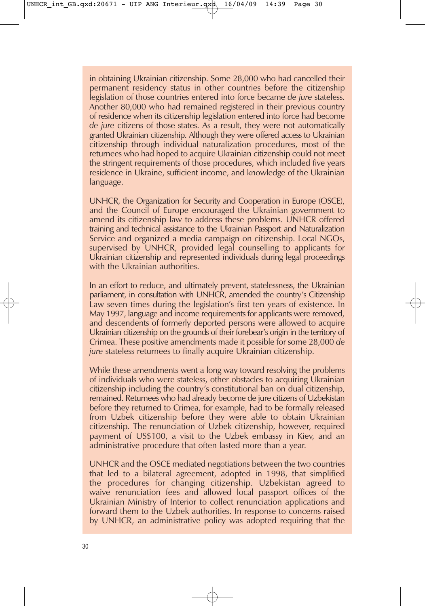in obtaining Ukrainian citizenship. Some 28,000 who had cancelled their permanent residency status in other countries before the citizenship legislation of those countries entered into force became *de jure* stateless. Another 80,000 who had remained registered in their previous country of residence when its citizenship legislation entered into force had become *de jure* citizens of those states. As a result, they were not automatically granted Ukrainian citizenship. Although they were offered access to Ukrainian citizenship through individual naturalization procedures, most of the returnees who had hoped to acquire Ukrainian citizenship could not meet the stringent requirements of those procedures, which included five years residence in Ukraine, sufficient income, and knowledge of the Ukrainian language.

UNHCR, the Organization for Security and Cooperation in Europe (OSCE), and the Council of Europe encouraged the Ukrainian government to amend its citizenship law to address these problems. UNHCR offered training and technical assistance to the Ukrainian Passport and Naturalization Service and organized a media campaign on citizenship. Local NGOs, supervised by UNHCR, provided legal counselling to applicants for Ukrainian citizenship and represented individuals during legal proceedings with the Ukrainian authorities.

In an effort to reduce, and ultimately prevent, statelessness, the Ukrainian parliament, in consultation with UNHCR, amended the country's Citizenship Law seven times during the legislation's first ten years of existence. In May 1997, language and income requirements for applicants were removed, and descendents of formerly deported persons were allowed to acquire Ukrainian citizenship on the grounds of their forebear's origin in the territory of Crimea. These positive amendments made it possible for some 28,000 *de jure* stateless returnees to finally acquire Ukrainian citizenship.

While these amendments went a long way toward resolving the problems of individuals who were stateless, other obstacles to acquiring Ukrainian citizenship including the country's constitutional ban on dual citizenship, remained. Returnees who had already become de jure citizens of Uzbekistan before they returned to Crimea, for example, had to be formally released from Uzbek citizenship before they were able to obtain Ukrainian citizenship. The renunciation of Uzbek citizenship, however, required payment of US\$100, a visit to the Uzbek embassy in Kiev, and an administrative procedure that often lasted more than a year.

UNHCR and the OSCE mediated negotiations between the two countries that led to a bilateral agreement, adopted in 1998, that simplified the procedures for changing citizenship. Uzbekistan agreed to waive renunciation fees and allowed local passport offices of the Ukrainian Ministry of Interior to collect renunciation applications and forward them to the Uzbek authorities. In response to concerns raised by UNHCR, an administrative policy was adopted requiring that the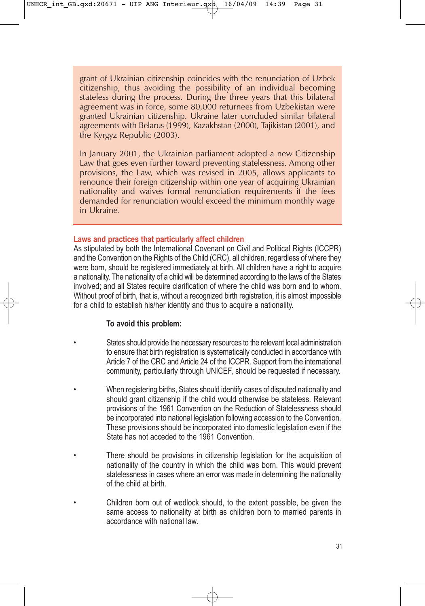grant of Ukrainian citizenship coincides with the renunciation of Uzbek citizenship, thus avoiding the possibility of an individual becoming stateless during the process. During the three years that this bilateral agreement was in force, some 80,000 returnees from Uzbekistan were granted Ukrainian citizenship. Ukraine later concluded similar bilateral agreements with Belarus (1999), Kazakhstan (2000), Tajikistan (2001), and the Kyrgyz Republic (2003).

In January 2001, the Ukrainian parliament adopted a new Citizenship Law that goes even further toward preventing statelessness. Among other provisions, the Law, which was revised in 2005, allows applicants to renounce their foreign citizenship within one year of acquiring Ukrainian nationality and waives formal renunciation requirements if the fees demanded for renunciation would exceed the minimum monthly wage in Ukraine.

#### **Laws and practices that particularly affect children**

As stipulated by both the International Covenant on Civil and Political Rights (ICCPR) and the Convention on the Rights of the Child (CRC), all children, regardless of where they were born, should be registered immediately at birth. All children have a right to acquire a nationality. The nationality of a child will be determined according to the laws of the States involved; and all States require clarification of where the child was born and to whom. Without proof of birth, that is, without a recognized birth registration, it is almost impossible for a child to establish his/her identity and thus to acquire a nationality.

#### **To avoid this problem:**

- States should provide the necessary resources to the relevant local administration to ensure that birth registration is systematically conducted in accordance with Article 7 of the CRC and Article 24 of the ICCPR. Support from the international community, particularly through UNICEF, should be requested if necessary.
	- When registering births, States should identify cases of disputed nationality and should grant citizenship if the child would otherwise be stateless. Relevant provisions of the 1961 Convention on the Reduction of Statelessness should be incorporated into national legislation following accession to the Convention. These provisions should be incorporated into domestic legislation even if the State has not acceded to the 1961 Convention.
		- There should be provisions in citizenship legislation for the acquisition of nationality of the country in which the child was born. This would prevent statelessness in cases where an error was made in determining the nationality of the child at birth.
		- Children born out of wedlock should, to the extent possible, be given the same access to nationality at birth as children born to married parents in accordance with national law.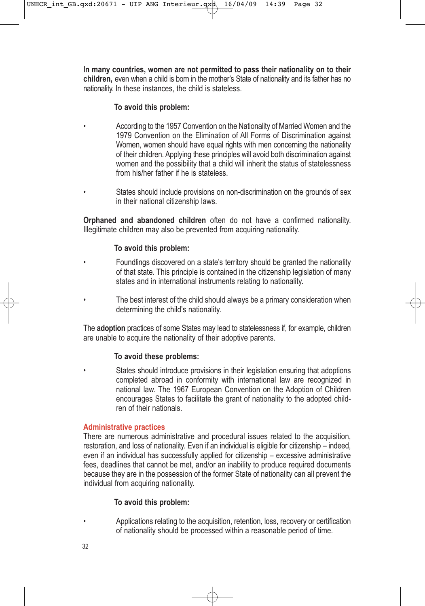**In many countries, women are not permitted to pass their nationality on to their children,** even when a child is born in the mother's State of nationality and its father has no nationality. In these instances, the child is stateless.

#### **To avoid this problem:**

- According to the 1957 Convention on the Nationality of Married Women and the 1979 Convention on the Elimination of All Forms of Discrimination against Women, women should have equal rights with men concerning the nationality of their children. Applying these principles will avoid both discrimination against women and the possibility that a child will inherit the status of statelessness from his/her father if he is stateless.
- States should include provisions on non-discrimination on the grounds of sex in their national citizenship laws.

**Orphaned and abandoned children** often do not have a confirmed nationality. Illegitimate children may also be prevented from acquiring nationality.

#### **To avoid this problem:**

- Foundlings discovered on a state's territory should be granted the nationality of that state. This principle is contained in the citizenship legislation of many states and in international instruments relating to nationality.
- The best interest of the child should always be a primary consideration when determining the child's nationality.

The **adoption** practices of some States may lead to statelessness if, for example, children are unable to acquire the nationality of their adoptive parents.

#### **To avoid these problems:**

States should introduce provisions in their legislation ensuring that adoptions completed abroad in conformity with international law are recognized in national law. The 1967 European Convention on the Adoption of Children encourages States to facilitate the grant of nationality to the adopted children of their nationals.

#### **Administrative practices**

There are numerous administrative and procedural issues related to the acquisition, restoration, and loss of nationality. Even if an individual is eligible for citizenship – indeed, even if an individual has successfully applied for citizenship – excessive administrative fees, deadlines that cannot be met, and/or an inability to produce required documents because they are in the possession of the former State of nationality can all prevent the individual from acquiring nationality.

#### **To avoid this problem:**

• Applications relating to the acquisition, retention, loss, recovery or certification of nationality should be processed within a reasonable period of time.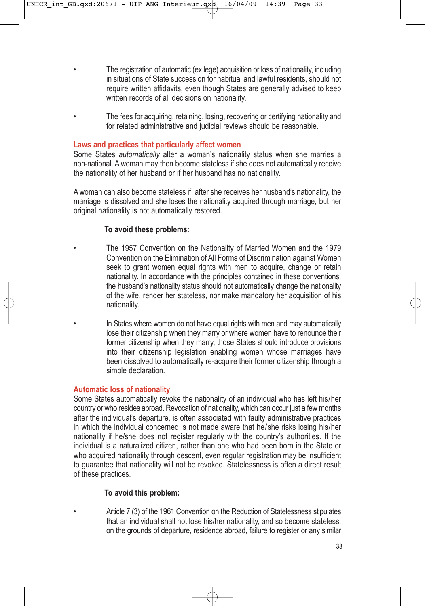- The registration of automatic (ex lege) acquisition or loss of nationality, including in situations of State succession for habitual and lawful residents, should not require written affidavits, even though States are generally advised to keep written records of all decisions on nationality.
- The fees for acquiring, retaining, losing, recovering or certifying nationality and for related administrative and judicial reviews should be reasonable.

#### **Laws and practices that particularly affect women**

Some States *automatically* alter a woman's nationality status when she marries a non-national. A woman may then become stateless if she does not automatically receive the nationality of her husband or if her husband has no nationality.

A woman can also become stateless if, after she receives her husband's nationality, the marriage is dissolved and she loses the nationality acquired through marriage, but her original nationality is not automatically restored.

#### **To avoid these problems:**

• The 1957 Convention on the Nationality of Married Women and the 1979 Convention on the Elimination of All Forms of Discrimination against Women seek to grant women equal rights with men to acquire, change or retain nationality. In accordance with the principles contained in these conventions, the husband's nationality status should not automatically change the nationality of the wife, render her stateless, nor make mandatory her acquisition of his nationality.

In States where women do not have equal rights with men and may automatically lose their citizenship when they marry or where women have to renounce their former citizenship when they marry, those States should introduce provisions into their citizenship legislation enabling women whose marriages have been dissolved to automatically re-acquire their former citizenship through a simple declaration.

#### **Automatic loss of nationality**

Some States automatically revoke the nationality of an individual who has left his/her country or who resides abroad. Revocation of nationality, which can occur just a few months after the individual's departure, is often associated with faulty administrative practices in which the individual concerned is not made aware that he/she risks losing his/her nationality if he/she does not register regularly with the country's authorities. If the individual is a naturalized citizen, rather than one who had been born in the State or who acquired nationality through descent, even regular registration may be insufficient to guarantee that nationality will not be revoked. Statelessness is often a direct result of these practices.

#### **To avoid this problem:**

• Article 7 (3) of the 1961 Convention on the Reduction of Statelessness stipulates that an individual shall not lose his/her nationality, and so become stateless, on the grounds of departure, residence abroad, failure to register or any similar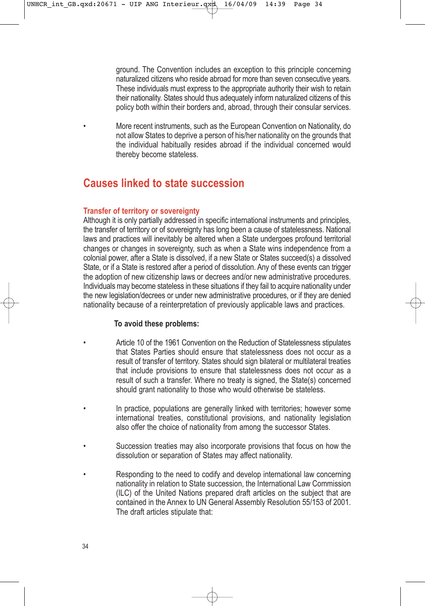ground. The Convention includes an exception to this principle concerning naturalized citizens who reside abroad for more than seven consecutive years. These individuals must express to the appropriate authority their wish to retain their nationality. States should thus adequately inform naturalized citizens of this policy both within their borders and, abroad, through their consular services.

• More recent instruments, such as the European Convention on Nationality, do not allow States to deprive a person of his/her nationality on the grounds that the individual habitually resides abroad if the individual concerned would thereby become stateless.

# **Causes linked to state succession**

#### **Transfer of territory or sovereignty**

Although it is only partially addressed in specific international instruments and principles, the transfer of territory or of sovereignty has long been a cause of statelessness. National laws and practices will inevitably be altered when a State undergoes profound territorial changes or changes in sovereignty, such as when a State wins independence from a colonial power, after a State is dissolved, if a new State or States succeed(s) a dissolved State, or if a State is restored after a period of dissolution. Any of these events can trigger the adoption of new citizenship laws or decrees and/or new administrative procedures. Individuals may become stateless in these situations if they fail to acquire nationality under the new legislation/decrees or under new administrative procedures, or if they are denied nationality because of a reinterpretation of previously applicable laws and practices.

#### **To avoid these problems:**

- Article 10 of the 1961 Convention on the Reduction of Statelessness stipulates that States Parties should ensure that statelessness does not occur as a result of transfer of territory. States should sign bilateral or multilateral treaties that include provisions to ensure that statelessness does not occur as a result of such a transfer. Where no treaty is signed, the State(s) concerned should grant nationality to those who would otherwise be stateless.
- In practice, populations are generally linked with territories; however some international treaties, constitutional provisions, and nationality legislation also offer the choice of nationality from among the successor States.
- Succession treaties may also incorporate provisions that focus on how the dissolution or separation of States may affect nationality.
- Responding to the need to codify and develop international law concerning nationality in relation to State succession, the International Law Commission (ILC) of the United Nations prepared draft articles on the subject that are contained in the Annex to UN General Assembly Resolution 55/153 of 2001. The draft articles stipulate that: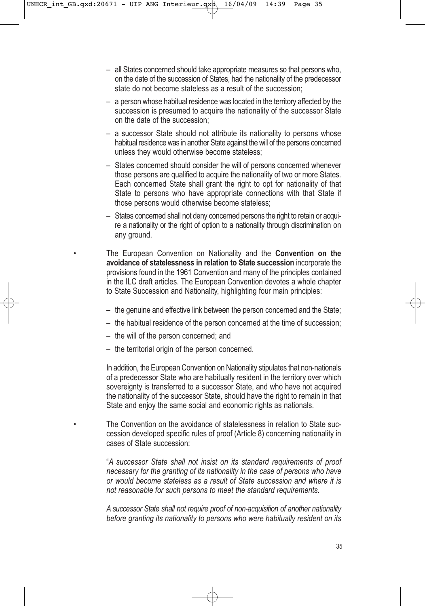- all States concerned should take appropriate measures so that persons who, on the date of the succession of States, had the nationality of the predecessor state do not become stateless as a result of the succession;
- a person whose habitual residence was located in the territory affected by the succession is presumed to acquire the nationality of the successor State on the date of the succession;
- a successor State should not attribute its nationality to persons whose habitual residence was in another State against the will of the persons concerned unless they would otherwise become stateless;
- States concerned should consider the will of persons concerned whenever those persons are qualified to acquire the nationality of two or more States. Each concerned State shall grant the right to opt for nationality of that State to persons who have appropriate connections with that State if those persons would otherwise become stateless;
- States concerned shall not deny concerned persons the right to retain or acquire a nationality or the right of option to a nationality through discrimination on any ground.

• The European Convention on Nationality and the **Convention on the avoidance of statelessness in relation to State succession** incorporate the provisions found in the 1961 Convention and many of the principles contained in the ILC draft articles. The European Convention devotes a whole chapter to State Succession and Nationality, highlighting four main principles:

- the genuine and effective link between the person concerned and the State;
- the habitual residence of the person concerned at the time of succession;
- the will of the person concerned; and
- the territorial origin of the person concerned.

In addition, the European Convention on Nationality stipulates that non-nationals of a predecessor State who are habitually resident in the territory over which sovereignty is transferred to a successor State, and who have not acquired the nationality of the successor State, should have the right to remain in that State and enjoy the same social and economic rights as nationals.

• The Convention on the avoidance of statelessness in relation to State succession developed specific rules of proof (Article 8) concerning nationality in cases of State succession:

"*A successor State shall not insist on its standard requirements of proof necessary for the granting of its nationality in the case of persons who have or would become stateless as a result of State succession and where it is not reasonable for such persons to meet the standard requirements.* 

*A successor State shall not require proof of non-acquisition of another nationality before granting its nationality to persons who were habitually resident on its*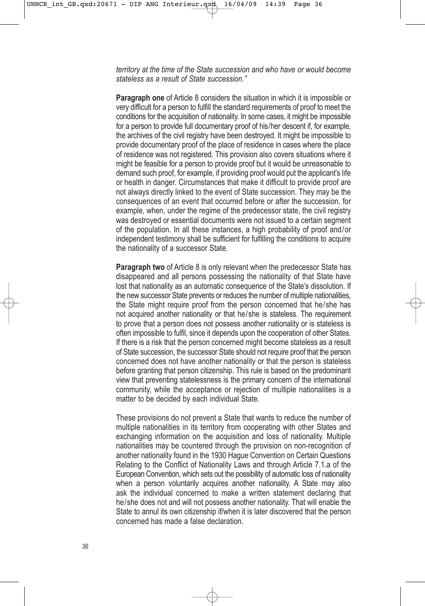*territory at the time of the State succession and who have or would become stateless as a result of State succession."* 

**Paragraph one** of Article 8 considers the situation in which it is impossible or very difficult for a person to fulfill the standard requirements of proof to meet the conditions for the acquisition of nationality. In some cases, it might be impossible for a person to provide full documentary proof of his/her descent if, for example, the archives of the civil registry have been destroyed. It might be impossible to provide documentary proof of the place of residence in cases where the place of residence was not registered. This provision also covers situations where it might be feasible for a person to provide proof but it would be unreasonable to demand such proof, for example, if providing proof would put the applicant's life or health in danger. Circumstances that make it difficult to provide proof are not always directly linked to the event of State succession. They may be the consequences of an event that occurred before or after the succession, for example, when, under the regime of the predecessor state, the civil registry was destroyed or essential documents were not issued to a certain segment of the population. In all these instances, a high probability of proof and/or independent testimony shall be sufficient for fulfilling the conditions to acquire the nationality of a successor State.

**Paragraph two** of Article 8 is only relevant when the predecessor State has disappeared and all persons possessing the nationality of that State have lost that nationality as an automatic consequence of the State's dissolution. If the new successor State prevents or reduces the number of multiple nationalities, the State might require proof from the person concerned that he/she has not acquired another nationality or that he/she is stateless. The requirement to prove that a person does not possess another nationality or is stateless is often impossible to fulfil, since it depends upon the cooperation of other States. If there is a risk that the person concerned might become stateless as a result of State succession, the successor State should not require proof that the person concerned does not have another nationality or that the person is stateless before granting that person citizenship. This rule is based on the predominant view that preventing statelessness is the primary concern of the international community, while the acceptance or rejection of multiple nationalities is a matter to be decided by each individual State.

These provisions do not prevent a State that wants to reduce the number of multiple nationalities in its territory from cooperating with other States and exchanging information on the acquisition and loss of nationality. Multiple nationalities may be countered through the provision on non-recognition of another nationality found in the 1930 Hague Convention on Certain Questions Relating to the Conflict of Nationality Laws and through Article 7.1.a of the European Convention, which sets out the possibility of automatic loss of nationality when a person voluntarily acquires another nationality. A State may also ask the individual concerned to make a written statement declaring that he/she does not and will not possess another nationality. That will enable the State to annul its own citizenship if/when it is later discovered that the person concerned has made a false declaration.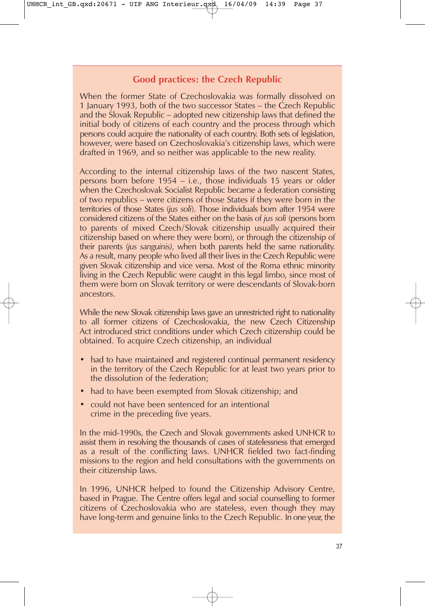# **Good practices: the Czech Republic**

When the former State of Czechoslovakia was formally dissolved on 1 January 1993, both of the two successor States – the Czech Republic and the Slovak Republic – adopted new citizenship laws that defined the initial body of citizens of each country and the process through which persons could acquire the nationality of each country. Both sets of legislation, however, were based on Czechoslovakia's citizenship laws, which were drafted in 1969, and so neither was applicable to the new reality.

According to the internal citizenship laws of the two nascent States, persons born before 1954 – i.e., those individuals 15 years or older when the Czechoslovak Socialist Republic became a federation consisting of two republics – were citizens of those States if they were born in the territories of those States (*jus soli*). Those individuals born after 1954 were considered citizens of the States either on the basis of *jus soli* (persons born to parents of mixed Czech/Slovak citizenship usually acquired their citizenship based on where they were born), or through the citizenship of their parents (*jus sanguinis)*, when both parents held the same nationality. As a result, many people who lived all their lives in the Czech Republic were given Slovak citizenship and vice versa. Most of the Roma ethnic minority living in the Czech Republic were caught in this legal limbo, since most of them were born on Slovak territory or were descendants of Slovak-born ancestors.

While the new Slovak citizenship laws gave an unrestricted right to nationality to all former citizens of Czechoslovakia, the new Czech Citizenship Act introduced strict conditions under which Czech citizenship could be obtained. To acquire Czech citizenship, an individual

- had to have maintained and registered continual permanent residency in the territory of the Czech Republic for at least two years prior to the dissolution of the federation;
- had to have been exempted from Slovak citizenship; and
- could not have been sentenced for an intentional crime in the preceding five years.

In the mid-1990s, the Czech and Slovak governments asked UNHCR to assist them in resolving the thousands of cases of statelessness that emerged as a result of the conflicting laws. UNHCR fielded two fact-finding missions to the region and held consultations with the governments on their citizenship laws.

In 1996, UNHCR helped to found the Citizenship Advisory Centre, based in Prague. The Centre offers legal and social counselling to former citizens of Czechoslovakia who are stateless, even though they may have long-term and genuine links to the Czech Republic. In one year, the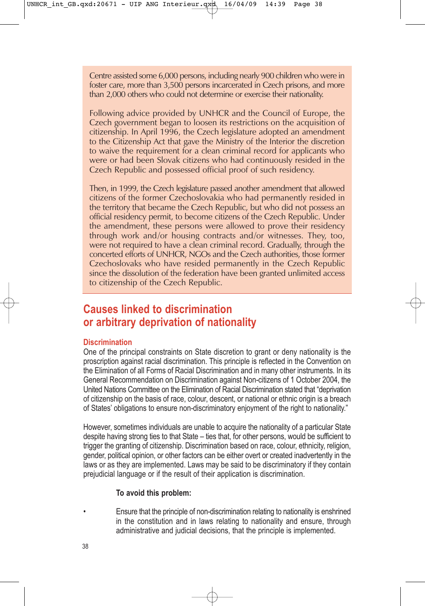Centre assisted some 6,000 persons, including nearly 900 children who were in foster care, more than 3,500 persons incarcerated in Czech prisons, and more than 2,000 others who could not determine or exercise their nationality.

Following advice provided by UNHCR and the Council of Europe, the Czech government began to loosen its restrictions on the acquisition of citizenship. In April 1996, the Czech legislature adopted an amendment to the Citizenship Act that gave the Ministry of the Interior the discretion to waive the requirement for a clean criminal record for applicants who were or had been Slovak citizens who had continuously resided in the Czech Republic and possessed official proof of such residency.

Then, in 1999, the Czech legislature passed another amendment that allowed citizens of the former Czechoslovakia who had permanently resided in the territory that became the Czech Republic, but who did not possess an official residency permit, to become citizens of the Czech Republic. Under the amendment, these persons were allowed to prove their residency through work and/or housing contracts and/or witnesses. They, too, were not required to have a clean criminal record. Gradually, through the concerted efforts of UNHCR, NGOs and the Czech authorities, those former Czechoslovaks who have resided permanently in the Czech Republic since the dissolution of the federation have been granted unlimited access to citizenship of the Czech Republic.

# **Causes linked to discrimination or arbitrary deprivation of nationality**

#### **Discrimination**

One of the principal constraints on State discretion to grant or deny nationality is the proscription against racial discrimination. This principle is reflected in the Convention on the Elimination of all Forms of Racial Discrimination and in many other instruments. In its General Recommendation on Discrimination against Non-citizens of 1 October 2004, the United Nations Committee on the Elimination of Racial Discrimination stated that "deprivation of citizenship on the basis of race, colour, descent, or national or ethnic origin is a breach of States' obligations to ensure non-discriminatory enjoyment of the right to nationality."

However, sometimes individuals are unable to acquire the nationality of a particular State despite having strong ties to that State – ties that, for other persons, would be sufficient to trigger the granting of citizenship. Discrimination based on race, colour, ethnicity, religion, gender, political opinion, or other factors can be either overt or created inadvertently in the laws or as they are implemented. Laws may be said to be discriminatory if they contain prejudicial language or if the result of their application is discrimination.

#### **To avoid this problem:**

• Ensure that the principle of non-discrimination relating to nationality is enshrined in the constitution and in laws relating to nationality and ensure, through administrative and judicial decisions, that the principle is implemented.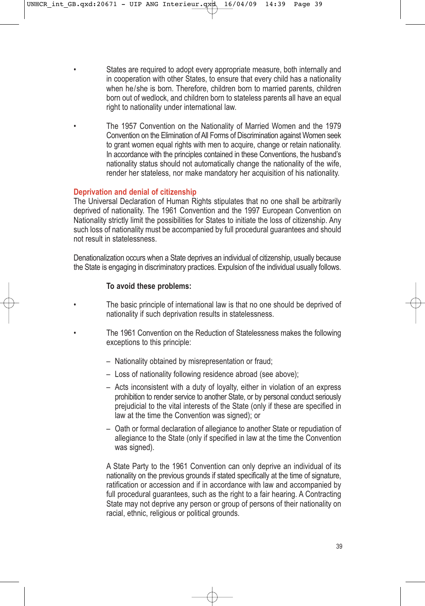States are required to adopt every appropriate measure, both internally and in cooperation with other States, to ensure that every child has a nationality when he/she is born. Therefore, children born to married parents, children born out of wedlock, and children born to stateless parents all have an equal right to nationality under international law.

• The 1957 Convention on the Nationality of Married Women and the 1979 Convention on the Elimination of All Forms of Discrimination against Women seek to grant women equal rights with men to acquire, change or retain nationality. In accordance with the principles contained in these Conventions, the husband's nationality status should not automatically change the nationality of the wife, render her stateless, nor make mandatory her acquisition of his nationality.

#### **Deprivation and denial of citizenship**

The Universal Declaration of Human Rights stipulates that no one shall be arbitrarily deprived of nationality. The 1961 Convention and the 1997 European Convention on Nationality strictly limit the possibilities for States to initiate the loss of citizenship. Any such loss of nationality must be accompanied by full procedural guarantees and should not result in statelessness.

Denationalization occurs when a State deprives an individual of citizenship, usually because the State is engaging in discriminatory practices. Expulsion of the individual usually follows.

#### **To avoid these problems:**

- The basic principle of international law is that no one should be deprived of nationality if such deprivation results in statelessness.
- The 1961 Convention on the Reduction of Statelessness makes the following exceptions to this principle:
	- Nationality obtained by misrepresentation or fraud;
	- Loss of nationality following residence abroad (see above);
	- Acts inconsistent with a duty of loyalty, either in violation of an express prohibition to render service to another State, or by personal conduct seriously prejudicial to the vital interests of the State (only if these are specified in law at the time the Convention was signed); or
	- Oath or formal declaration of allegiance to another State or repudiation of allegiance to the State (only if specified in law at the time the Convention was signed).

A State Party to the 1961 Convention can only deprive an individual of its nationality on the previous grounds if stated specifically at the time of signature, ratification or accession and if in accordance with law and accompanied by full procedural guarantees, such as the right to a fair hearing. A Contracting State may not deprive any person or group of persons of their nationality on racial, ethnic, religious or political grounds.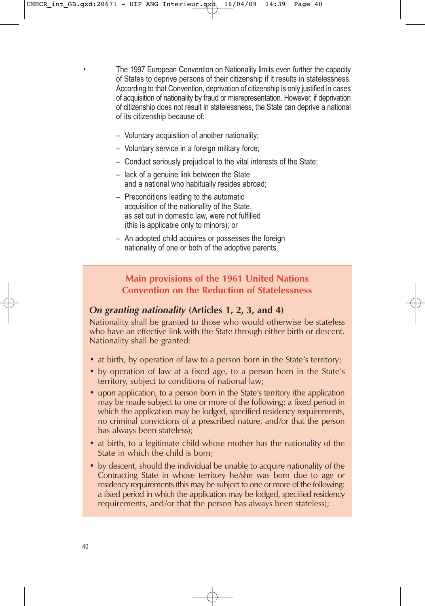• The 1997 European Convention on Nationality limits even further the capacity of States to deprive persons of their citizenship if it results in statelessness. According to that Convention, deprivation of citizenship is only justified in cases of acquisition of nationality by fraud or misrepresentation. However, if deprivation of citizenship does not result in statelessness, the State can deprive a national of its citizenship because of:

- Voluntary acquisition of another nationality;
- Voluntary service in a foreign military force;
- Conduct seriously prejudicial to the vital interests of the State;
- lack of a genuine link between the State and a national who habitually resides abroad;
- Preconditions leading to the automatic acquisition of the nationality of the State, as set out in domestic law, were not fulfilled (this is applicable only to minors); or
- An adopted child acquires or possesses the foreign nationality of one or both of the adoptive parents.

# **Main provisions of the 1961 United Nations Convention on the Reduction of Statelessness**

# *On granting nationality* **(Articles 1, 2, 3, and 4)**

Nationality shall be granted to those who would otherwise be stateless who have an effective link with the State through either birth or descent. Nationality shall be granted:

- at birth, by operation of law to a person born in the State's territory;
- by operation of law at a fixed age, to a person born in the State's territory, subject to conditions of national law;
- upon application, to a person born in the State's territory (the application may be made subject to one or more of the following: a fixed period in which the application may be lodged, specified residency requirements, no criminal convictions of a prescribed nature, and/or that the person has always been stateless);
- at birth, to a legitimate child whose mother has the nationality of the State in which the child is born;
- by descent, should the individual be unable to acquire nationality of the Contracting State in whose territory he/she was born due to age or residency requirements (this may be subject to one or more of the following: a fixed period in which the application may be lodged, specified residency requirements, and/or that the person has always been stateless);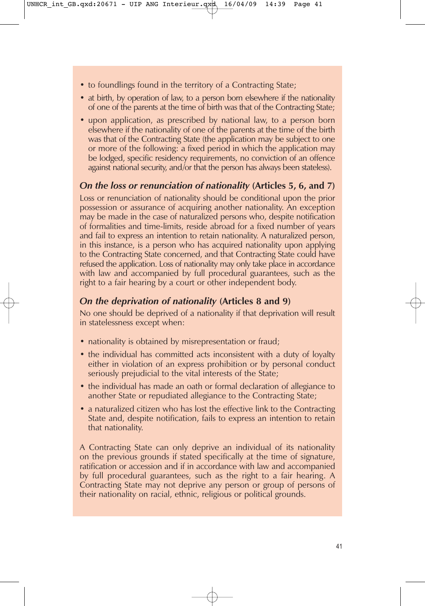- to foundlings found in the territory of a Contracting State;
- at birth, by operation of law, to a person born elsewhere if the nationality of one of the parents at the time of birth was that of the Contracting State;
- upon application, as prescribed by national law, to a person born elsewhere if the nationality of one of the parents at the time of the birth was that of the Contracting State (the application may be subject to one or more of the following: a fixed period in which the application may be lodged, specific residency requirements, no conviction of an offence against national security, and/or that the person has always been stateless).

# *On the loss or renunciation of nationality* **(Articles 5, 6, and 7)**

Loss or renunciation of nationality should be conditional upon the prior possession or assurance of acquiring another nationality. An exception may be made in the case of naturalized persons who, despite notification of formalities and time-limits, reside abroad for a fixed number of years and fail to express an intention to retain nationality. A naturalized person, in this instance, is a person who has acquired nationality upon applying to the Contracting State concerned, and that Contracting State could have refused the application. Loss of nationality may only take place in accordance with law and accompanied by full procedural guarantees, such as the right to a fair hearing by a court or other independent body.

# *On the deprivation of nationality* **(Articles 8 and 9)**

No one should be deprived of a nationality if that deprivation will result in statelessness except when:

- nationality is obtained by misrepresentation or fraud;
- the individual has committed acts inconsistent with a duty of loyalty either in violation of an express prohibition or by personal conduct seriously prejudicial to the vital interests of the State;
- the individual has made an oath or formal declaration of allegiance to another State or repudiated allegiance to the Contracting State;
- a naturalized citizen who has lost the effective link to the Contracting State and, despite notification, fails to express an intention to retain that nationality.

A Contracting State can only deprive an individual of its nationality on the previous grounds if stated specifically at the time of signature, ratification or accession and if in accordance with law and accompanied by full procedural guarantees, such as the right to a fair hearing. A Contracting State may not deprive any person or group of persons of their nationality on racial, ethnic, religious or political grounds.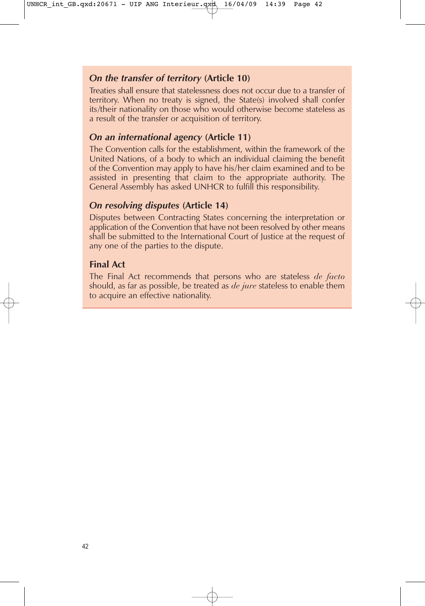# *On the transfer of territory* **(Article 10)**

Treaties shall ensure that statelessness does not occur due to a transfer of territory. When no treaty is signed, the State(s) involved shall confer its/their nationality on those who would otherwise become stateless as a result of the transfer or acquisition of territory.

# *On an international agency* **(Article 11)**

The Convention calls for the establishment, within the framework of the United Nations, of a body to which an individual claiming the benefit of the Convention may apply to have his/her claim examined and to be assisted in presenting that claim to the appropriate authority. The General Assembly has asked UNHCR to fulfill this responsibility.

# *On resolving disputes* **(Article 14)**

Disputes between Contracting States concerning the interpretation or application of the Convention that have not been resolved by other means shall be submitted to the International Court of Justice at the request of any one of the parties to the dispute.

# **Final Act**

The Final Act recommends that persons who are stateless *de facto* should, as far as possible, be treated as *de jure* stateless to enable them to acquire an effective nationality.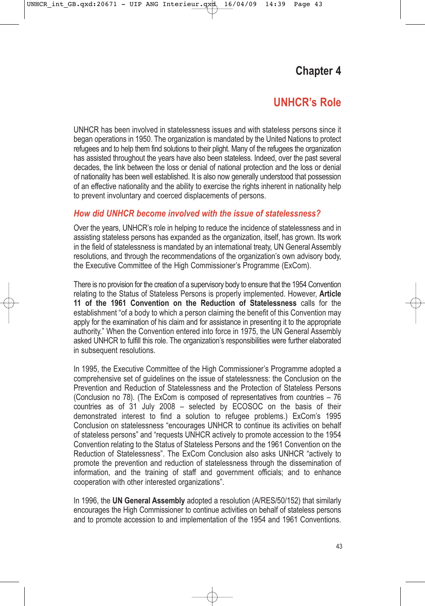# **Chapter 4**

# **UNHCR's Role**

UNHCR has been involved in statelessness issues and with stateless persons since it began operations in 1950. The organization is mandated by the United Nations to protect refugees and to help them find solutions to their plight. Many of the refugees the organization has assisted throughout the years have also been stateless. Indeed, over the past several decades, the link between the loss or denial of national protection and the loss or denial of nationality has been well established. It is also now generally understood that possession of an effective nationality and the ability to exercise the rights inherent in nationality help to prevent involuntary and coerced displacements of persons.

# *How did UNHCR become involved with the issue of statelessness?*

Over the years, UNHCR's role in helping to reduce the incidence of statelessness and in assisting stateless persons has expanded as the organization, itself, has grown. Its work in the field of statelessness is mandated by an international treaty, UN General Assembly resolutions, and through the recommendations of the organization's own advisory body. the Executive Committee of the High Commissioner's Programme (ExCom).

There is no provision for the creation of a supervisory body to ensure that the 1954 Convention relating to the Status of Stateless Persons is properly implemented. However, **Article 11 of the 1961 Convention on the Reduction of Statelessness** calls for the establishment "of a body to which a person claiming the benefit of this Convention may apply for the examination of his claim and for assistance in presenting it to the appropriate authority." When the Convention entered into force in 1975, the UN General Assembly asked UNHCR to fulfill this role. The organization's responsibilities were further elaborated in subsequent resolutions.

In 1995, the Executive Committee of the High Commissioner's Programme adopted a comprehensive set of guidelines on the issue of statelessness: the Conclusion on the Prevention and Reduction of Statelessness and the Protection of Stateless Persons (Conclusion no 78). (The ExCom is composed of representatives from countries – 76 countries as of 31 July 2008 – selected by ECOSOC on the basis of their demonstrated interest to find a solution to refugee problems.) ExCom's 1995 Conclusion on statelessness "encourages UNHCR to continue its activities on behalf of stateless persons" and "requests UNHCR actively to promote accession to the 1954 Convention relating to the Status of Stateless Persons and the 1961 Convention on the Reduction of Statelessness". The ExCom Conclusion also asks UNHCR "actively to promote the prevention and reduction of statelessness through the dissemination of information, and the training of staff and government officials; and to enhance cooperation with other interested organizations".

In 1996, the **UN General Assembly** adopted a resolution (A/RES/50/152) that similarly encourages the High Commissioner to continue activities on behalf of stateless persons and to promote accession to and implementation of the 1954 and 1961 Conventions.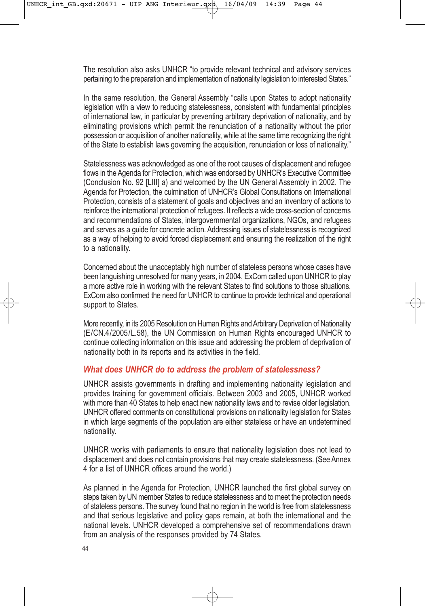The resolution also asks UNHCR "to provide relevant technical and advisory services pertaining to the preparation and implementation of nationality legislation to interested States."

In the same resolution, the General Assembly "calls upon States to adopt nationality legislation with a view to reducing statelessness, consistent with fundamental principles of international law, in particular by preventing arbitrary deprivation of nationality, and by eliminating provisions which permit the renunciation of a nationality without the prior possession or acquisition of another nationality, while at the same time recognizing the right of the State to establish laws governing the acquisition, renunciation or loss of nationality."

Statelessness was acknowledged as one of the root causes of displacement and refugee flows in the Agenda for Protection, which was endorsed by UNHCR's Executive Committee (Conclusion No. 92 [LIII] a) and welcomed by the UN General Assembly in 2002. The Agenda for Protection, the culmination of UNHCR's Global Consultations on International Protection, consists of a statement of goals and objectives and an inventory of actions to reinforce the international protection of refugees. It reflects a wide cross-section of concerns and recommendations of States, intergovernmental organizations, NGOs, and refugees and serves as a guide for concrete action. Addressing issues of statelessness is recognized as a way of helping to avoid forced displacement and ensuring the realization of the right to a nationality.

Concerned about the unacceptably high number of stateless persons whose cases have been languishing unresolved for many years, in 2004, ExCom called upon UNHCR to play a more active role in working with the relevant States to find solutions to those situations. ExCom also confirmed the need for UNHCR to continue to provide technical and operational support to States.

More recently, in its 2005 Resolution on Human Rights and Arbitrary Deprivation of Nationality (E/CN.4/2005/L.58), the UN Commission on Human Rights encouraged UNHCR to continue collecting information on this issue and addressing the problem of deprivation of nationality both in its reports and its activities in the field.

# *What does UNHCR do to address the problem of statelessness?*

UNHCR assists governments in drafting and implementing nationality legislation and provides training for government officials. Between 2003 and 2005, UNHCR worked with more than 40 States to help enact new nationality laws and to revise older legislation. UNHCR offered comments on constitutional provisions on nationality legislation for States in which large segments of the population are either stateless or have an undetermined nationality.

UNHCR works with parliaments to ensure that nationality legislation does not lead to displacement and does not contain provisions that may create statelessness. (See Annex 4 for a list of UNHCR offices around the world.)

As planned in the Agenda for Protection, UNHCR launched the first global survey on steps taken by UN member States to reduce statelessness and to meet the protection needs of stateless persons. The survey found that no region in the world is free from statelessness and that serious legislative and policy gaps remain, at both the international and the national levels. UNHCR developed a comprehensive set of recommendations drawn from an analysis of the responses provided by 74 States.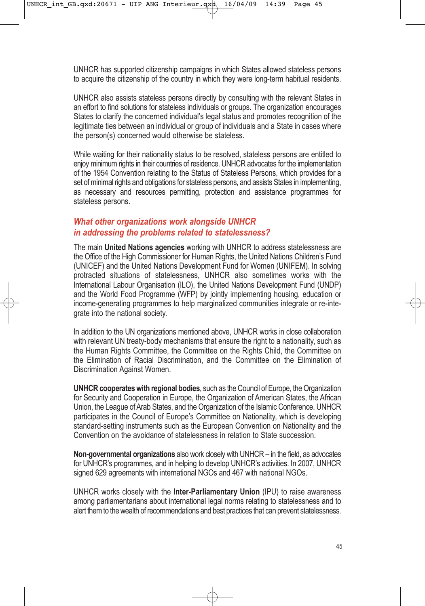UNHCR has supported citizenship campaigns in which States allowed stateless persons to acquire the citizenship of the country in which they were long-term habitual residents.

UNHCR also assists stateless persons directly by consulting with the relevant States in an effort to find solutions for stateless individuals or groups. The organization encourages States to clarify the concerned individual's legal status and promotes recognition of the legitimate ties between an individual or group of individuals and a State in cases where the person(s) concerned would otherwise be stateless.

While waiting for their nationality status to be resolved, stateless persons are entitled to enjoy minimum rights in their countries of residence. UNHCR advocates for the implementation of the 1954 Convention relating to the Status of Stateless Persons, which provides for a set of minimal rights and obligations for stateless persons, and assists States in implementing, as necessary and resources permitting, protection and assistance programmes for stateless persons.

# *What other organizations work alongside UNHCR in addressing the problems related to statelessness?*

The main **United Nations agencies** working with UNHCR to address statelessness are the Office of the High Commissioner for Human Rights, the United Nations Children's Fund (UNICEF) and the United Nations Development Fund for Women (UNIFEM). In solving protracted situations of statelessness, UNHCR also sometimes works with the International Labour Organisation (ILO), the United Nations Development Fund (UNDP) and the World Food Programme (WFP) by jointly implementing housing, education or income-generating programmes to help marginalized communities integrate or re-integrate into the national society.

In addition to the UN organizations mentioned above, UNHCR works in close collaboration with relevant UN treaty-body mechanisms that ensure the right to a nationality, such as the Human Rights Committee, the Committee on the Rights Child, the Committee on the Elimination of Racial Discrimination, and the Committee on the Elimination of Discrimination Against Women.

**UNHCR cooperates with regional bodies**, such as the Council of Europe, the Organization for Security and Cooperation in Europe, the Organization of American States, the African Union, the League of Arab States, and the Organization of the Islamic Conference. UNHCR participates in the Council of Europe's Committee on Nationality, which is developing standard-setting instruments such as the European Convention on Nationality and the Convention on the avoidance of statelessness in relation to State succession.

**Non-governmental organizations** also work closely with UNHCR – in the field, as advocates for UNHCR's programmes, and in helping to develop UNHCR's activities. In 2007, UNHCR signed 629 agreements with international NGOs and 467 with national NGOs.

UNHCR works closely with the **Inter-Parliamentary Union** (IPU) to raise awareness among parliamentarians about international legal norms relating to statelessness and to alert them to the wealth of recommendations and best practices that can prevent statelessness.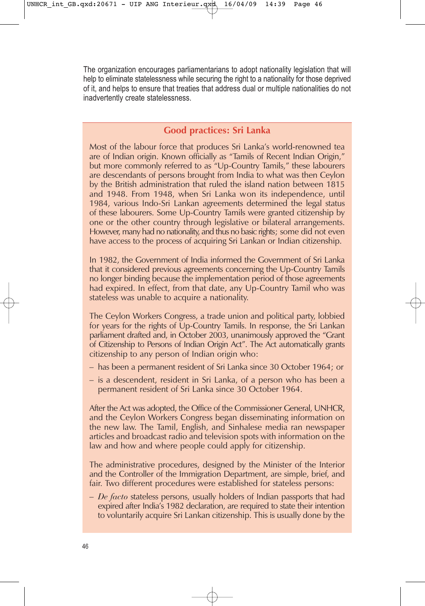The organization encourages parliamentarians to adopt nationality legislation that will help to eliminate statelessness while securing the right to a nationality for those deprived of it, and helps to ensure that treaties that address dual or multiple nationalities do not inadvertently create statelessness.

# **Good practices: Sri Lanka**

Most of the labour force that produces Sri Lanka's world-renowned tea are of Indian origin. Known officially as "Tamils of Recent Indian Origin," but more commonly referred to as "Up-Country Tamils," these labourers are descendants of persons brought from India to what was then Ceylon by the British administration that ruled the island nation between 1815 and 1948. From 1948, when Sri Lanka won its independence, until 1984, various Indo-Sri Lankan agreements determined the legal status of these labourers. Some Up-Country Tamils were granted citizenship by one or the other country through legislative or bilateral arrangements. However, many had no nationality, and thus no basic rights; some did not even have access to the process of acquiring Sri Lankan or Indian citizenship.

In 1982, the Government of India informed the Government of Sri Lanka that it considered previous agreements concerning the Up-Country Tamils no longer binding because the implementation period of those agreements had expired. In effect, from that date, any Up-Country Tamil who was stateless was unable to acquire a nationality.

The Ceylon Workers Congress, a trade union and political party, lobbied for years for the rights of Up-Country Tamils. In response, the Sri Lankan parliament drafted and, in October 2003, unanimously approved the "Grant of Citizenship to Persons of Indian Origin Act". The Act automatically grants citizenship to any person of Indian origin who:

- has been a permanent resident of Sri Lanka since 30 October 1964; or
- is a descendent, resident in Sri Lanka, of a person who has been a permanent resident of Sri Lanka since 30 October 1964.

After the Act was adopted, the Office of the Commissioner General, UNHCR, and the Ceylon Workers Congress began disseminating information on the new law. The Tamil, English, and Sinhalese media ran newspaper articles and broadcast radio and television spots with information on the law and how and where people could apply for citizenship.

The administrative procedures, designed by the Minister of the Interior and the Controller of the Immigration Department, are simple, brief, and fair. Two different procedures were established for stateless persons:

– *De facto* stateless persons, usually holders of Indian passports that had expired after India's 1982 declaration, are required to state their intention to voluntarily acquire Sri Lankan citizenship. This is usually done by the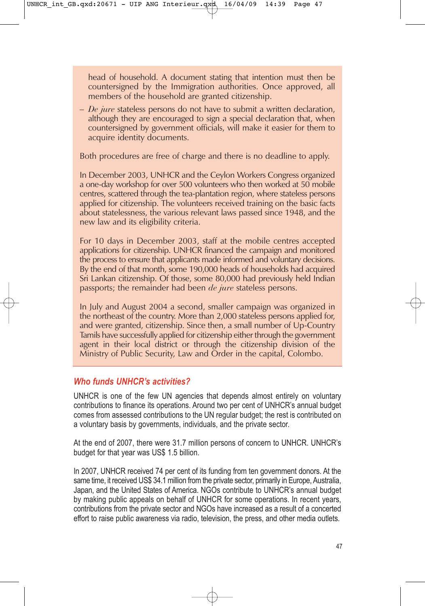head of household. A document stating that intention must then be countersigned by the Immigration authorities. Once approved, all members of the household are granted citizenship.

– *De jure* stateless persons do not have to submit a written declaration, although they are encouraged to sign a special declaration that, when countersigned by government officials, will make it easier for them to acquire identity documents.

Both procedures are free of charge and there is no deadline to apply.

In December 2003, UNHCR and the Ceylon Workers Congress organized a one-day workshop for over 500 volunteers who then worked at 50 mobile centres, scattered through the tea-plantation region, where stateless persons applied for citizenship. The volunteers received training on the basic facts about statelessness, the various relevant laws passed since 1948, and the new law and its eligibility criteria.

For 10 days in December 2003, staff at the mobile centres accepted applications for citizenship. UNHCR financed the campaign and monitored the process to ensure that applicants made informed and voluntary decisions. By the end of that month, some 190,000 heads of households had acquired Sri Lankan citizenship. Of those, some 80,000 had previously held Indian passports; the remainder had been *de jure* stateless persons.

In July and August 2004 a second, smaller campaign was organized in the northeast of the country. More than 2,000 stateless persons applied for, and were granted, citizenship. Since then, a small number of Up-Country Tamils have successfully applied for citizenship either through the government agent in their local district or through the citizenship division of the Ministry of Public Security, Law and Order in the capital, Colombo.

# *Who funds UNHCR's activities?*

UNHCR is one of the few UN agencies that depends almost entirely on voluntary contributions to finance its operations. Around two per cent of UNHCR's annual budget comes from assessed contributions to the UN regular budget; the rest is contributed on a voluntary basis by governments, individuals, and the private sector.

At the end of 2007, there were 31.7 million persons of concern to UNHCR. UNHCR's budget for that year was US\$ 1.5 billion.

In 2007, UNHCR received 74 per cent of its funding from ten government donors. At the same time, it received US\$ 34.1 million from the private sector, primarily in Europe, Australia, Japan, and the United States of America. NGOs contribute to UNHCR's annual budget by making public appeals on behalf of UNHCR for some operations. In recent years, contributions from the private sector and NGOs have increased as a result of a concerted effort to raise public awareness via radio, television, the press, and other media outlets.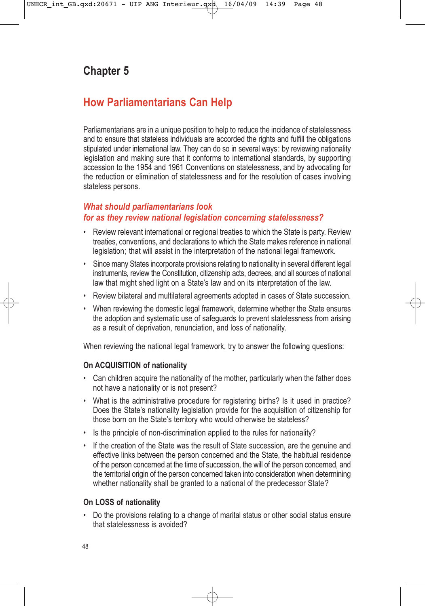# **Chapter 5**

# **How Parliamentarians Can Help**

Parliamentarians are in a unique position to help to reduce the incidence of statelessness and to ensure that stateless individuals are accorded the rights and fulfill the obligations stipulated under international law. They can do so in several ways: by reviewing nationality legislation and making sure that it conforms to international standards, by supporting accession to the 1954 and 1961 Conventions on statelessness, and by advocating for the reduction or elimination of statelessness and for the resolution of cases involving stateless persons.

# *What should parliamentarians look for as they review national legislation concerning statelessness?*

- Review relevant international or regional treaties to which the State is party. Review treaties, conventions, and declarations to which the State makes reference in national legislation; that will assist in the interpretation of the national legal framework.
- Since many States incorporate provisions relating to nationality in several different legal instruments, review the Constitution, citizenship acts, decrees, and all sources of national law that might shed light on a State's law and on its interpretation of the law.
- Review bilateral and multilateral agreements adopted in cases of State succession.
- When reviewing the domestic legal framework, determine whether the State ensures the adoption and systematic use of safeguards to prevent statelessness from arising as a result of deprivation, renunciation, and loss of nationality.

When reviewing the national legal framework, try to answer the following questions:

#### **On ACQUISITION of nationality**

- Can children acquire the nationality of the mother, particularly when the father does not have a nationality or is not present?
- What is the administrative procedure for registering births? Is it used in practice? Does the State's nationality legislation provide for the acquisition of citizenship for those born on the State's territory who would otherwise be stateless?
- Is the principle of non-discrimination applied to the rules for nationality?
- If the creation of the State was the result of State succession, are the genuine and effective links between the person concerned and the State, the habitual residence of the person concerned at the time of succession, the will of the person concerned, and the territorial origin of the person concerned taken into consideration when determining whether nationality shall be granted to a national of the predecessor State?

#### **On LOSS of nationality**

• Do the provisions relating to a change of marital status or other social status ensure that statelessness is avoided?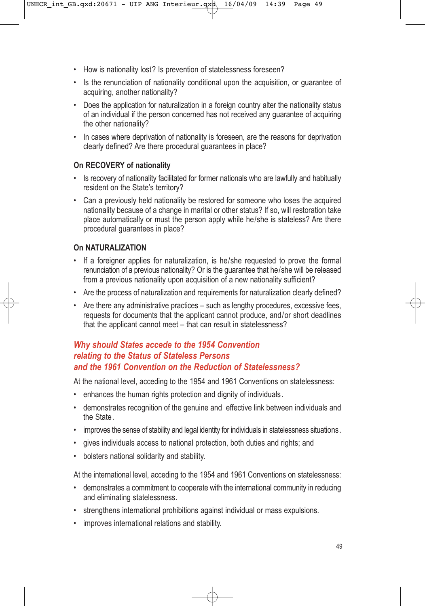- How is nationality lost? Is prevention of statelessness foreseen?
- Is the renunciation of nationality conditional upon the acquisition, or guarantee of acquiring, another nationality?
- Does the application for naturalization in a foreign country alter the nationality status of an individual if the person concerned has not received any guarantee of acquiring the other nationality?
- In cases where deprivation of nationality is foreseen, are the reasons for deprivation clearly defined? Are there procedural guarantees in place?

# **On RECOVERY of nationality**

- Is recovery of nationality facilitated for former nationals who are lawfully and habitually resident on the State's territory?
- Can a previously held nationality be restored for someone who loses the acquired nationality because of a change in marital or other status? If so, will restoration take place automatically or must the person apply while he/she is stateless? Are there procedural guarantees in place?

# **On NATURALIZATION**

- If a foreigner applies for naturalization, is he/she requested to prove the formal renunciation of a previous nationality? Or is the guarantee that he/she will be released from a previous nationality upon acquisition of a new nationality sufficient?
- Are the process of naturalization and requirements for naturalization clearly defined?
- Are there any administrative practices such as lengthy procedures, excessive fees, requests for documents that the applicant cannot produce, and/or short deadlines that the applicant cannot meet – that can result in statelessness?

# *Why should States accede to the 1954 Convention relating to the Status of Stateless Persons and the 1961 Convention on the Reduction of Statelessness?*

At the national level, acceding to the 1954 and 1961 Conventions on statelessness:

- enhances the human rights protection and dignity of individuals.
- demonstrates recognition of the genuine and effective link between individuals and the State.
- improves the sense of stability and legal identity for individuals in statelessness situations.
- gives individuals access to national protection, both duties and rights; and
- bolsters national solidarity and stability.

At the international level, acceding to the 1954 and 1961 Conventions on statelessness:

- demonstrates a commitment to cooperate with the international community in reducing and eliminating statelessness.
- strengthens international prohibitions against individual or mass expulsions.
- improves international relations and stability.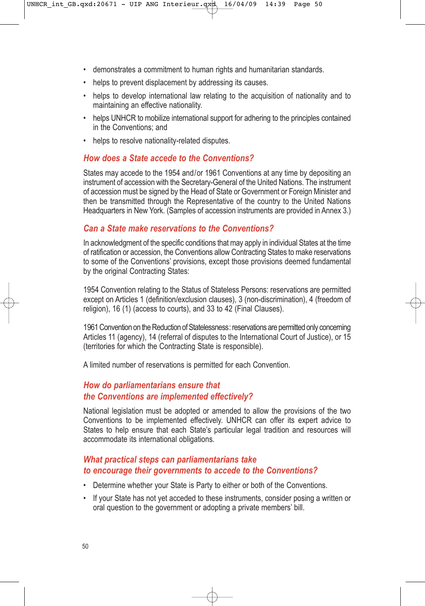- demonstrates a commitment to human rights and humanitarian standards.
- helps to prevent displacement by addressing its causes.
- helps to develop international law relating to the acquisition of nationality and to maintaining an effective nationality.
- helps UNHCR to mobilize international support for adhering to the principles contained in the Conventions; and
- helps to resolve nationality-related disputes.

# *How does a State accede to the Conventions?*

States may accede to the 1954 and/or 1961 Conventions at any time by depositing an instrument of accession with the Secretary-General of the United Nations. The instrument of accession must be signed by the Head of State or Government or Foreign Minister and then be transmitted through the Representative of the country to the United Nations Headquarters in New York. (Samples of accession instruments are provided in Annex 3.)

### *Can a State make reservations to the Conventions?*

In acknowledgment of the specific conditions that may apply in individual States at the time of ratification or accession, the Conventions allow Contracting States to make reservations to some of the Conventions' provisions, except those provisions deemed fundamental by the original Contracting States:

1954 Convention relating to the Status of Stateless Persons: reservations are permitted except on Articles 1 (definition/exclusion clauses), 3 (non-discrimination), 4 (freedom of religion), 16 (1) (access to courts), and 33 to 42 (Final Clauses).

1961 Convention on the Reduction of Statelessness: reservations are permitted only concerning Articles 11 (agency), 14 (referral of disputes to the International Court of Justice), or 15 (territories for which the Contracting State is responsible).

A limited number of reservations is permitted for each Convention.

# *How do parliamentarians ensure that the Conventions are implemented effectively?*

National legislation must be adopted or amended to allow the provisions of the two Conventions to be implemented effectively. UNHCR can offer its expert advice to States to help ensure that each State's particular legal tradition and resources will accommodate its international obligations.

### *What practical steps can parliamentarians take to encourage their governments to accede to the Conventions?*

- Determine whether your State is Party to either or both of the Conventions.
- If your State has not yet acceded to these instruments, consider posing a written or oral question to the government or adopting a private members' bill.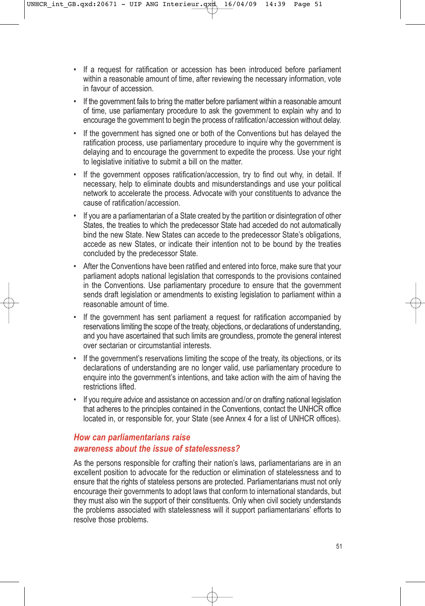- If a request for ratification or accession has been introduced before parliament within a reasonable amount of time, after reviewing the necessary information, vote in favour of accession.
- If the government fails to bring the matter before parliament within a reasonable amount of time, use parliamentary procedure to ask the government to explain why and to encourage the government to begin the process of ratification/accession without delay.
- If the government has signed one or both of the Conventions but has delayed the ratification process, use parliamentary procedure to inquire why the government is delaying and to encourage the government to expedite the process. Use your right to legislative initiative to submit a bill on the matter.
- If the government opposes ratification/accession, try to find out why, in detail. If necessary, help to eliminate doubts and misunderstandings and use your political network to accelerate the process. Advocate with your constituents to advance the cause of ratification/accession.
- If you are a parliamentarian of a State created by the partition or disintegration of other States, the treaties to which the predecessor State had acceded do not automatically bind the new State. New States can accede to the predecessor State's obligations, accede as new States, or indicate their intention not to be bound by the treaties concluded by the predecessor State.
- After the Conventions have been ratified and entered into force, make sure that your parliament adopts national legislation that corresponds to the provisions contained in the Conventions. Use parliamentary procedure to ensure that the government sends draft legislation or amendments to existing legislation to parliament within a reasonable amount of time.
- If the government has sent parliament a request for ratification accompanied by reservations limiting the scope of the treaty, objections, or declarations of understanding, and you have ascertained that such limits are groundless, promote the general interest over sectarian or circumstantial interests.
- If the government's reservations limiting the scope of the treaty, its objections, or its declarations of understanding are no longer valid, use parliamentary procedure to enquire into the government's intentions, and take action with the aim of having the restrictions lifted.
- If you require advice and assistance on accession and/or on drafting national legislation that adheres to the principles contained in the Conventions, contact the UNHCR office located in, or responsible for, your State (see Annex 4 for a list of UNHCR offices).

# *How can parliamentarians raise awareness about the issue of statelessness?*

As the persons responsible for crafting their nation's laws, parliamentarians are in an excellent position to advocate for the reduction or elimination of statelessness and to ensure that the rights of stateless persons are protected. Parliamentarians must not only encourage their governments to adopt laws that conform to international standards, but they must also win the support of their constituents. Only when civil society understands the problems associated with statelessness will it support parliamentarians' efforts to resolve those problems.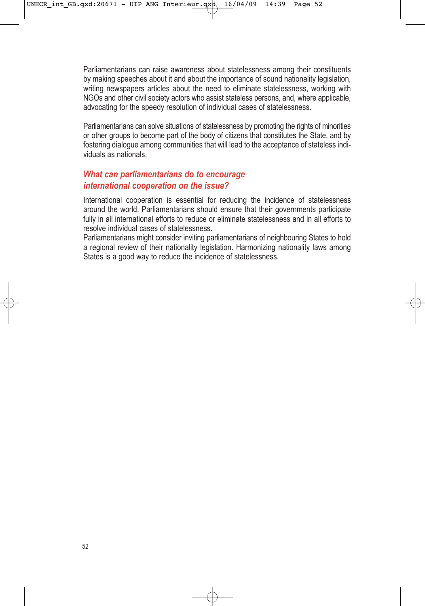Parliamentarians can raise awareness about statelessness among their constituents by making speeches about it and about the importance of sound nationality legislation, writing newspapers articles about the need to eliminate statelessness, working with NGOs and other civil society actors who assist stateless persons, and, where applicable, advocating for the speedy resolution of individual cases of statelessness.

Parliamentarians can solve situations of statelessness by promoting the rights of minorities or other groups to become part of the body of citizens that constitutes the State, and by fostering dialogue among communities that will lead to the acceptance of stateless individuals as nationals.

# *What can parliamentarians do to encourage international cooperation on the issue?*

International cooperation is essential for reducing the incidence of statelessness around the world. Parliamentarians should ensure that their governments participate fully in all international efforts to reduce or eliminate statelessness and in all efforts to resolve individual cases of statelessness.

Parliamentarians might consider inviting parliamentarians of neighbouring States to hold a regional review of their nationality legislation. Harmonizing nationality laws among States is a good way to reduce the incidence of statelessness.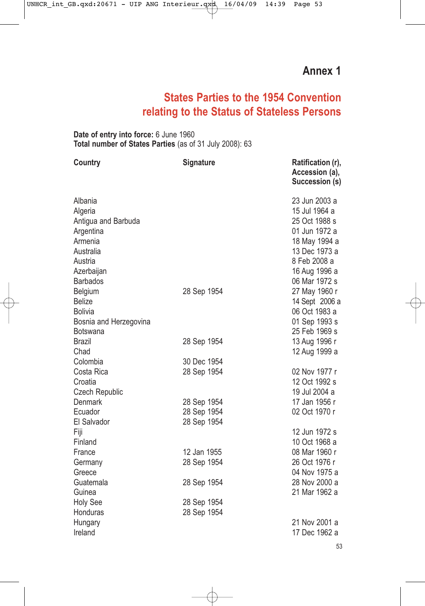# **States Parties to the 1954 Convention relating to the Status of Stateless Persons**

**Date of entry into force:** 6 June 1960 **Total number of States Parties** (as of 31 July 2008): 63

| <b>Country</b>         | <b>Signature</b> | Ratification (r),<br>Accession (a),<br>Succession (s) |
|------------------------|------------------|-------------------------------------------------------|
| Albania                |                  | 23 Jun 2003 a                                         |
| Algeria                |                  | 15 Jul 1964 a                                         |
| Antigua and Barbuda    |                  | 25 Oct 1988 s                                         |
| Argentina              |                  | 01 Jun 1972 a                                         |
| Armenia                |                  | 18 May 1994 a                                         |
| Australia              |                  | 13 Dec 1973 a                                         |
| Austria                |                  | 8 Feb 2008 a                                          |
| Azerbaijan             |                  | 16 Aug 1996 a                                         |
| <b>Barbados</b>        |                  | 06 Mar 1972 s                                         |
| Belgium                | 28 Sep 1954      | 27 May 1960 r                                         |
| <b>Belize</b>          |                  | 14 Sept 2006 a                                        |
| <b>Bolivia</b>         |                  | 06 Oct 1983 a                                         |
| Bosnia and Herzegovina |                  | 01 Sep 1993 s                                         |
| Botswana               |                  | 25 Feb 1969 s                                         |
| Brazil                 | 28 Sep 1954      | 13 Aug 1996 r                                         |
| Chad                   |                  | 12 Aug 1999 a                                         |
| Colombia               | 30 Dec 1954      |                                                       |
| Costa Rica             | 28 Sep 1954      | 02 Nov 1977 r                                         |
| Croatia                |                  | 12 Oct 1992 s                                         |
| Czech Republic         |                  | 19 Jul 2004 a                                         |
| <b>Denmark</b>         | 28 Sep 1954      | 17 Jan 1956 r                                         |
| Ecuador                | 28 Sep 1954      | 02 Oct 1970 r                                         |
| El Salvador            | 28 Sep 1954      |                                                       |
| Fiji                   |                  | 12 Jun 1972 s                                         |
| Finland                |                  | 10 Oct 1968 a                                         |
| France                 | 12 Jan 1955      | 08 Mar 1960 r                                         |
| Germany                | 28 Sep 1954      | 26 Oct 1976 r                                         |
| Greece                 |                  | 04 Nov 1975 a                                         |
| Guatemala              | 28 Sep 1954      | 28 Nov 2000 a                                         |
| Guinea                 |                  | 21 Mar 1962 a                                         |
| <b>Holy See</b>        | 28 Sep 1954      |                                                       |
| Honduras               | 28 Sep 1954      |                                                       |
| Hungary                |                  | 21 Nov 2001 a                                         |
| Ireland                |                  | 17 Dec 1962 a                                         |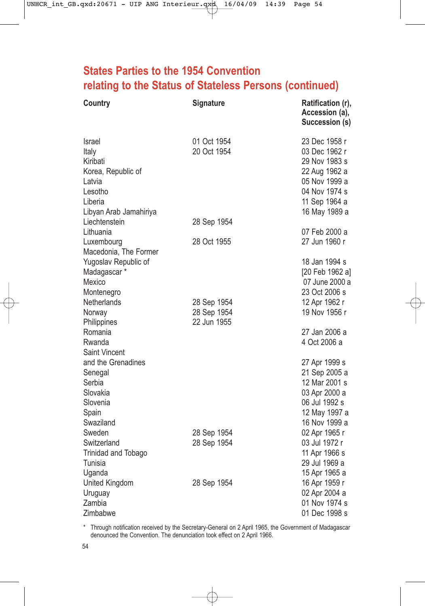# **States Parties to the 1954 Convention relating to the Status of Stateless Persons (continued)**

| 01 Oct 1954<br>23 Dec 1958 r<br>Israel<br>20 Oct 1954<br>03 Dec 1962 r<br>Italy<br>Kiribati<br>29 Nov 1983 s<br>Korea, Republic of<br>22 Aug 1962 a<br>05 Nov 1999 a<br>Latvia<br>04 Nov 1974 s<br>Lesotho<br>Liberia<br>11 Sep 1964 a<br>Libyan Arab Jamahiriya<br>16 May 1989 a<br>Liechtenstein<br>28 Sep 1954<br>Lithuania<br>07 Feb 2000 a<br>28 Oct 1955<br>27 Jun 1960 r<br>Luxembourg<br>Macedonia, The Former |
|------------------------------------------------------------------------------------------------------------------------------------------------------------------------------------------------------------------------------------------------------------------------------------------------------------------------------------------------------------------------------------------------------------------------|
|                                                                                                                                                                                                                                                                                                                                                                                                                        |
|                                                                                                                                                                                                                                                                                                                                                                                                                        |
|                                                                                                                                                                                                                                                                                                                                                                                                                        |
|                                                                                                                                                                                                                                                                                                                                                                                                                        |
| 18 Jan 1994 s<br>Yugoslav Republic of<br>Madagascar *<br>[20 Feb 1962 a]<br>Mexico<br>07 June 2000 a<br>23 Oct 2006 s<br>Montenegro                                                                                                                                                                                                                                                                                    |
| Netherlands<br>28 Sep 1954<br>12 Apr 1962 r                                                                                                                                                                                                                                                                                                                                                                            |
| 19 Nov 1956 r<br>28 Sep 1954<br>Norway                                                                                                                                                                                                                                                                                                                                                                                 |
| 22 Jun 1955<br>Philippines                                                                                                                                                                                                                                                                                                                                                                                             |
| Romania<br>27 Jan 2006 a<br>4 Oct 2006 a<br>Rwanda                                                                                                                                                                                                                                                                                                                                                                     |
| Saint Vincent                                                                                                                                                                                                                                                                                                                                                                                                          |
| and the Grenadines<br>27 Apr 1999 s                                                                                                                                                                                                                                                                                                                                                                                    |
| 21 Sep 2005 a<br>Senegal                                                                                                                                                                                                                                                                                                                                                                                               |
| Serbia<br>12 Mar 2001 s                                                                                                                                                                                                                                                                                                                                                                                                |
| Slovakia<br>03 Apr 2000 a<br>Slovenia<br>06 Jul 1992 s                                                                                                                                                                                                                                                                                                                                                                 |
| Spain<br>12 May 1997 a                                                                                                                                                                                                                                                                                                                                                                                                 |
| Swaziland<br>16 Nov 1999 a                                                                                                                                                                                                                                                                                                                                                                                             |
| Sweden<br>28 Sep 1954<br>02 Apr 1965 r                                                                                                                                                                                                                                                                                                                                                                                 |
| Switzerland<br>28 Sep 1954<br>03 Jul 1972 r                                                                                                                                                                                                                                                                                                                                                                            |
| <b>Trinidad and Tobago</b><br>11 Apr 1966 s                                                                                                                                                                                                                                                                                                                                                                            |
| Tunisia<br>29 Jul 1969 a                                                                                                                                                                                                                                                                                                                                                                                               |
| Uganda<br>15 Apr 1965 a                                                                                                                                                                                                                                                                                                                                                                                                |
| United Kingdom<br>28 Sep 1954<br>16 Apr 1959 r                                                                                                                                                                                                                                                                                                                                                                         |
| 02 Apr 2004 a<br>Uruguay<br>Zambia<br>01 Nov 1974 s                                                                                                                                                                                                                                                                                                                                                                    |
| Zimbabwe<br>01 Dec 1998 s                                                                                                                                                                                                                                                                                                                                                                                              |

\* Through notification received by the Secretary-General on 2 April 1965, the Government of Madagascar denounced the Convention. The denunciation took effect on 2 April 1966.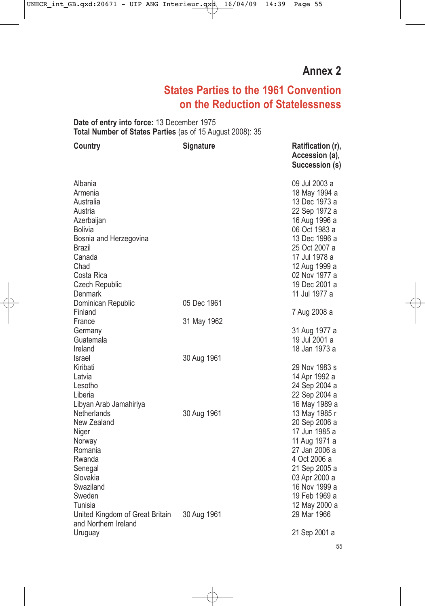# **Annex 2**

# **States Parties to the 1961 Convention on the Reduction of Statelessness**

**Date of entry into force:** 13 December 1975 **Total Number of States Parties** (as of 15 August 2008): 35

| <b>Country</b>                                                                                                                                                                           | <b>Signature</b>           | Ratification (r),<br>Accession (a),<br>Succession (s)                                                                                                                                                                  |
|------------------------------------------------------------------------------------------------------------------------------------------------------------------------------------------|----------------------------|------------------------------------------------------------------------------------------------------------------------------------------------------------------------------------------------------------------------|
| Albania<br>Armenia<br>Australia<br>Austria<br>Azerbaijan<br><b>Bolivia</b><br>Bosnia and Herzegovina<br>Brazil<br>Canada<br>Chad<br>Costa Rica<br><b>Czech Republic</b>                  |                            | 09 Jul 2003 a<br>18 May 1994 a<br>13 Dec 1973 a<br>22 Sep 1972 a<br>16 Aug 1996 a<br>06 Oct 1983 a<br>13 Dec 1996 a<br>25 Oct 2007 a<br>17 Jul 1978 a<br>12 Aug 1999 a<br>02 Nov 1977 a<br>19 Dec 2001 a               |
| Denmark<br>Dominican Republic<br>Finland                                                                                                                                                 | 05 Dec 1961                | 11 Jul 1977 a                                                                                                                                                                                                          |
| France<br>Germany<br>Guatemala<br>Ireland                                                                                                                                                | 31 May 1962                | 7 Aug 2008 a<br>31 Aug 1977 a<br>19 Jul 2001 a<br>18 Jan 1973 a                                                                                                                                                        |
| Israel<br>Kiribati<br>Latvia<br>Lesotho<br>Liberia                                                                                                                                       | 30 Aug 1961                | 29 Nov 1983 s<br>14 Apr 1992 a<br>24 Sep 2004 a<br>22 Sep 2004 a                                                                                                                                                       |
| Libyan Arab Jamahiriya<br>Netherlands<br>New Zealand<br>Niger<br>Norway<br>Romania<br>Rwanda<br>Senegal<br>Slovakia<br>Swaziland<br>Sweden<br>Tunisia<br>United Kingdom of Great Britain | 30 Aug 1961<br>30 Aug 1961 | 16 May 1989 a<br>13 May 1985 r<br>20 Sep 2006 a<br>17 Jun 1985 a<br>11 Aug 1971 a<br>27 Jan 2006 a<br>4 Oct 2006 a<br>21 Sep 2005 a<br>03 Apr 2000 a<br>16 Nov 1999 a<br>19 Feb 1969 a<br>12 May 2000 a<br>29 Mar 1966 |
| and Northern Ireland<br>Uruguay                                                                                                                                                          |                            | 21 Sep 2001 a                                                                                                                                                                                                          |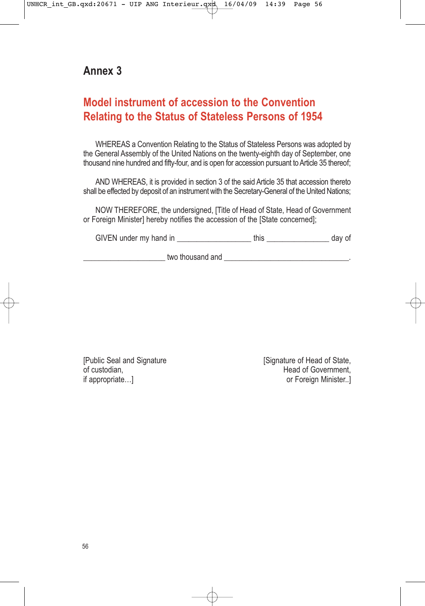# **Annex 3**

# **Model instrument of accession to the Convention Relating to the Status of Stateless Persons of 1954**

WHEREAS a Convention Relating to the Status of Stateless Persons was adopted by the General Assembly of the United Nations on the twenty-eighth day of September, one thousand nine hundred and fifty-four, and is open for accession pursuant to Article 35 thereof;

AND WHEREAS, it is provided in section 3 of the said Article 35 that accession thereto shall be effected by deposit of an instrument with the Secretary-General of the United Nations;

NOW THEREFORE, the undersigned, [Title of Head of State, Head of Government or Foreign Minister] hereby notifies the accession of the [State concerned];

GIVEN under my hand in this this day of

\_\_\_\_\_\_\_\_\_\_\_\_\_\_\_\_\_\_\_\_\_ two thousand and \_\_\_\_\_\_\_\_\_\_\_\_\_\_\_\_\_\_\_\_\_\_\_\_\_\_\_\_\_\_\_\_.

[Public Seal and Signature | Signature | Signature of Head of State, of custodian. of custodian, The Covernment, The Covernment, The Covernment, The Covernment, The Covernment, The Covernment, The Covernment, The Covernment, The Covernment, The Covernment, The Covernment, The Covernment, The Covernment, or Foreign Minister..]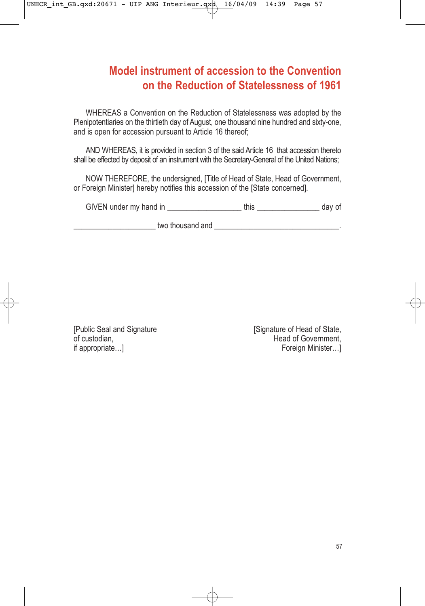# **Model instrument of accession to the Convention on the Reduction of Statelessness of 1961**

WHEREAS a Convention on the Reduction of Statelessness was adopted by the Plenipotentiaries on the thirtieth day of August, one thousand nine hundred and sixty-one, and is open for accession pursuant to Article 16 thereof;

AND WHEREAS, it is provided in section 3 of the said Article 16 that accession thereto shall be effected by deposit of an instrument with the Secretary-General of the United Nations;

NOW THEREFORE, the undersigned, [Title of Head of State, Head of Government, or Foreign Minister] hereby notifies this accession of the [State concerned].

GIVEN under my hand in this this day of

two thousand and  $\overline{a}$ 

[Public Seal and Signature [Signature [Signature of Head of State, of custodian.] of custodian, if appropriate...] The method of Government, if appropriate...] Foreign Minister…]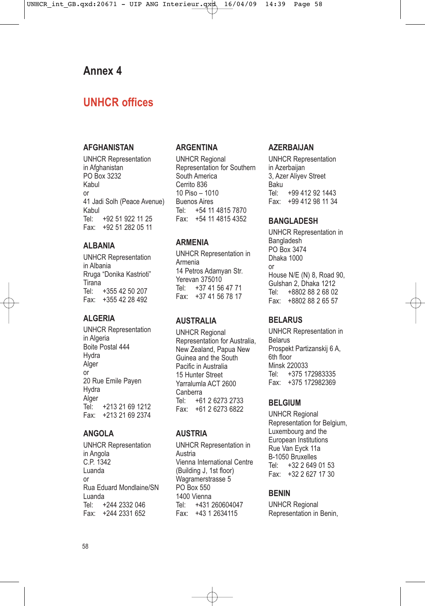# **Annex 4**

# **UNHCR offices**

#### **AFGHANISTAN**

UNHCR Representation in Afghanistan PO Box 3232 Kabul or 41 Jadi Solh (Peace Avenue) Kabul<br>Tel· +92 51 922 11 25 Fax: +92 51 282 05 11

### **ALBANIA**

UNHCR Representation in Albania Rruga "Donika Kastrioti" Tirana<br>Tel· +355 42 50 207 Fax: +355 42 28 492

#### **ALGERIA**

UNHCR Representation in Algeria Boite Postal 444 **Hydra** Alger or 20 Rue Emile Payen **Hydra** Alger<br>Tel: +213 21 69 1212 Fax: +213 21 69 2374

#### **ANGOLA**

UNHCR Representation in Angola C.P. 1342 Luanda or Rua Eduard Mondlaine/SN Luanda<br>Tel: + +244 2332 046 Fax: +244 2331 652

#### **ARGENTINA**

UNHCR Regional Representation for Southern South America Cerrito 836 10 Piso – 1010 Buenos Aires Tel: +54 11 4815 7870 Fax: +54 11 4815 4352

### **ARMENIA**

UNHCR Representation in Armenia 14 Petros Adamyan Str. Yerevan 375010<br>Tel: +37 41 56 Tel: +37 41 56 47 71 Fax: +37 41 56 78 17

#### **AUSTRALIA**

UNHCR Regional Representation for Australia, New Zealand, Papua New Guinea and the South Pacific in Australia 15 Hunter Street Yarralumla ACT 2600 Canberra Tel: +61 2 6273 2733 Fax: +61 2 6273 6822

#### **AUSTRIA**

UNHCR Representation in Austria Vienna International Centre (Building J, 1st floor) Wagramerstrasse 5 PO Box 550 1400 Vienna<br>Tel: +431 Tel: +431 260604047 Fax: +43 1 2634115

#### **AZERBAIJAN**

UNHCR Representation in Azerbaijan 3, Azer Aliyev Street Baku<br>Tel: +99 412 92 1443 Fax: +99 412 98 11 34

#### **BANGLADESH**

UNHCR Representation in **Bangladesh** PO Box 3474 Dhaka 1000 or House N/E (N) 8, Road 90, Gulshan 2, Dhaka 1212 Tel: +8802 88 2 68 02 Fax: +8802 88 2 65 57

#### **BELARUS**

UNHCR Representation in Belarus Prospekt Partizanskij 6 A, 6th floor Minsk 220033<br>Tel: +375.17 +375 172983335 Fax: +375 172982369

#### **BELGIUM**

UNHCR Regional Representation for Belgium, Luxembourg and the European Institutions Rue Van Eyck 11a  $B-1050$  Bruxelles<br>Tel:  $+322649$ +32 2 649 01 53 Fax: +32 2 627 17 30

#### **BENIN**

UNHCR Regional Representation in Benin,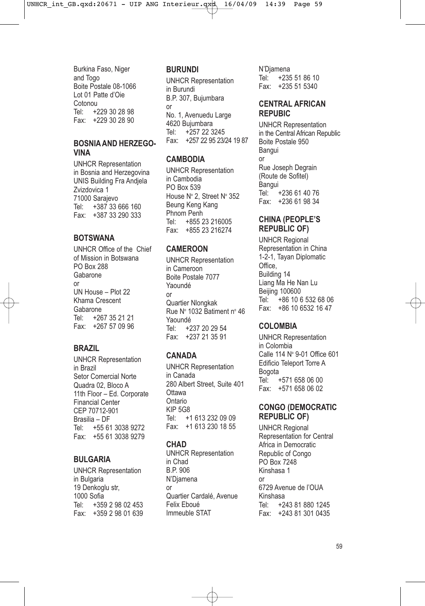Burkina Faso, Niger and Togo Boite Postale 08-1066 Lot 01 Patte d'Oie Cotonou<br>Tel: +2 +229 30 28 98 Fax: +229 30 28 90

#### **BOSNIA AND HERZEGO-VINA**

UNHCR Representation in Bosnia and Herzegovina UNIS Building Fra Andjela Zvizdovica 1 71000 Sarajevo Tel: +387 33 666 160 Fax: +387 33 290 333

# **BOTSWANA**

UNHCR Office of the Chief of Mission in Botswana PO Box 288 Gabarone or UN House – Plot 22 Khama Crescent Gabarone Tel: +267 35 21 21 Fax: +267 57 09 96

# **BRAZIL**

UNHCR Representation in Brazil Setor Comercial Norte Quadra 02, Bloco A 11th Floor – Ed. Corporate Financial Center CEP 70712-901 Brasilia – DF Tel: +55 61 3038 9272 Fax: +55 61 3038 9279

#### **BULGARIA**

UNHCR Representation in Bulgaria 19 Denkoglu str, 1000 Sofia Tel: +359 2 98 02 453 Fax: +359 2 98 01 639

### **BURUNDI**

UNHCR Representation in Burundi B.P. 307, Bujumbara or No. 1, Avenuedu Large 4620 Bujumbara Tel: +257 22 3245 Fax: +257 22 95 23/24 19 87

#### **CAMBODIA**

UNHCR Representation in Cambodia PO Box 539 House Nº 2, Street Nº 352 Beung Keng Kang Phnom Penh Tel: +855 23 216005 Fax: +855 23 216274

# **CAMEROON**

UNHCR Representation in Cameroon Boite Postale 7077 Yaoundé or Quartier Nlongkak Rue Nº 1032 Batiment nº 46 Yaoundé Tel: +237 20 29 54 Fax: +237 21 35 91

# **CANADA**

UNHCR Representation in Canada 280 Albert Street, Suite 401 **Ottawa** Ontario KIP 5G8 Tel: +1 613 232 09 09 Fax: +1 613 230 18 55

# **CHAD**

UNHCR Representation in Chad B.P. 906 N'Djamena or Quartier Cardalé, Avenue Felix Eboué Immeuble STAT

N'Djamena<br>Tel: +235 +235 51 86 10 Fax: +235 51 5340

### **CENTRAL AFRICAN REPUBIC**

UNHCR Representation in the Central African Republic Boite Postale 950 Bangui or Rue Joseph Degrain (Route de Sofitel) Bangui<br>Tel: +236 61 40 76 Fax: +236 61 98 34

### **CHINA (PEOPLE'S REPUBLIC OF)**

UNHCR Regional Representation in China 1-2-1, Tayan Diplomatic Office, Building 14 Liang Ma He Nan Lu Beijing 100600<br>Tel: +86 10 6 +86 10 6 532 68 06 Fax: +86 10 6532 16 47

# **COLOMBIA**

UNHCR Representation in Colombia Calle 114 Nº 9-01 Office 601 Edificio Teleport Torre A Bogota +571 658 06 00 Fax: +571 658 06 02

#### **CONGO (DEMOCRATIC REPUBLIC OF)**

UNHCR Regional Representation for Central Africa in Democratic Republic of Congo PO Box 7248 Kinshasa 1 or 6729 Avenue de l'OUA Kinshasa Tel: +243 81 880 1245 Fax: +243 81 301 0435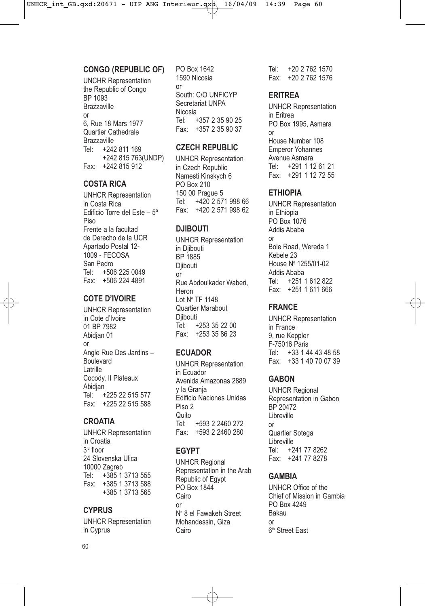### **CONGO (REPUBLIC OF)**

UNCHR Representation the Republic of Congo BP 1093 Brazzaville or 6, Rue 18 Mars 1977 Quartier Cathedrale Brazzaville<br>Tel: +24 +242 811 169 +242 815 763(UNDP) Fax: +242 815 912

# **COSTA RICA**

UNHCR Representation in Costa Rica Edificio Torre del Este – 5º Piso Frente a la facultad de Derecho de la UCR Apartado Postal 12- 1009 - FECOSA San Pedro Tel: +506 225 0049 Fax: +506 224 4891

# **COTE D'IVOIRE**

UNHCR Representation in Cote d'Ivoire 01 BP 7982 Abidjan 01 or Angle Rue Des Jardins – Boulevard Latrille Cocody, II Plateaux Abidjan<br>Tel: ا +225 22 515 577 Fax: +225 22 515 588

# **CROATIA**

UNHCR Representation in Croatia 3<sup>rd</sup> floor 24 Slovenska Ulica 10000 Zagreb Tel: +385 1 3713 555 Fax: +385 1 3713 588 +385 1 3713 565

# **CYPRUS**

UNHCR Representation in Cyprus

PO Box 1642 1590 Nicosia or South: C/O UNFICYP Secretariat UNPA Nicosia Tel: +357 2 35 90 25 Fax: +357 2 35 90 37

#### **CZECH REPUBLIC**

UNHCR Representation in Czech Republic Namesti Kinskych 6 PO Box 210 150 00 Prague 5 Tel: +420 2 571 998 66 Fax: +420 2 571 998 62

# **DJIBOUTI**

UNHCR Representation in Djibouti BP 1885 Diibouti or Rue Abdoulkader Waberi, Heron Lot No TF 1148 Quartier Marabout Diibouti Tel: +253 35 22 00 Fax: +253 35 86 23

# **ECUADOR**

UNHCR Representation in Ecuador Avenida Amazonas 2889 y la Granja Edificio Naciones Unidas Piso 2 Quito Tel: +593 2 2460 272 Fax: +593 2 2460 280

# **EGYPT**

UNHCR Regional Representation in the Arab Republic of Egypt PO Box 1844 Cairo or No 8 el Fawakeh Street Mohandessin, Giza Cairo

Tel: +20 2 762 1570 Fax: +20 2 762 1576

# **ERITREA**

UNHCR Representation in Eritrea PO Box 1995, Asmara or House Number 108 Emperor Yohannes Avenue Asmara Tel: +291 1 12 61 21 Fax: +291 1 12 72 55

# **ETHIOPIA**

UNHCR Representation in Ethiopia PO Box 1076 Addis Ababa or Bole Road, Wereda 1 Kebele 23 House No 1255/01-02 Addis Ababa Tel: +251 1 612 822 Fax: +251 1 611 666

# **FRANCE**

UNHCR Representation in France 9, rue Keppler F-75016 Paris<br>Tel: +33 1 4 +33 1 44 43 48 58 Fax: +33 1 40 70 07 39

# **GABON**

UNHCR Regional Representation in Gabon BP 20472 Libreville or Quartier Sotega Libreville<br>Tel: +2 +241 77 8262 Fax: +241 77 8278

# **GAMBIA**

UNHCR Office of the Chief of Mission in Gambia PO Box 4249 Bakau or 6<sup>th</sup> Street East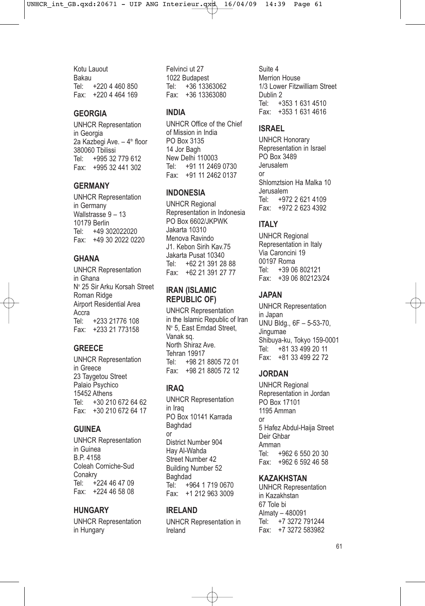Kotu Lauout Bakau Tel: +220 4 460 850 Fax: +220 4 464 169

#### **GEORGIA**

UNHCR Representation in Georgia 2a Kazbegi Ave.  $-4<sup>th</sup>$  floor 380060 Tbilissi Tel: +995 32 779 612 Fax: +995 32 441 302

#### **GERMANY**

UNHCR Representation in Germany Wallstrasse 9 – 13 10179 Berlin Tel: +49 302022020 Fax: +49 30 2022 0220

# **GHANA**

UNHCR Representation in Ghana Nº 25 Sir Arku Korsah Street Roman Ridge Airport Residential Area Accra<br>Tel· +233 21776 108 Fax: +233 21 773158

#### **GREECE**

UNHCR Representation in Greece 23 Taygetou Street Palaio Psychico 15452 Athens Tel: +30 210 672 64 62 Fax: +30 210 672 64 17

#### **GUINEA**

UNHCR Representation in Guinea B.P. 4158 Coleah Corniche-Sud **Conakry** Tel: +224 46 47 09 Fax: +224 46 58 08

#### **HUNGARY**

UNHCR Representation in Hungary

Felvinci ut 27 1022 Budapest Tel: +36 13363062 Fax: +36 13363080

# **INDIA**

UNHCR Office of the Chief of Mission in India PO Box 3135 14 Jor Bagh New Delhi 110003 Tel: +91 11 2469 0730 Fax: +91 11 2462 0137

#### **INDONESIA**

UNHCR Regional Representation in Indonesia PO Box 6602/JKPWK Jakarta 10310 Menova Ravindo J1. Kebon Sirih Kav.75 Jakarta Pusat 10340 Tel: +62 21 391 28 88 Fax: +62 21 391 27 77

#### **IRAN (ISLAMIC REPUBLIC OF)**

UNHCR Representation in the Islamic Republic of Iran Nº 5, East Emdad Street, Vanak sq. North Shiraz Ave. Tehran 19917 Tel: +98 21 8805 72 01 Fax: +98 21 8805 72 12

# **IRAQ**

UNHCR Representation in Iraq PO Box 10141 Karrada Baghdad or District Number 904 Hay Al-Wahda Street Number 42 Building Number 52 Baghdad<br>Tel: +9 +964 1 719 0670 Fax: +1 212 963 3009

### **IRELAND**

UNHCR Representation in Ireland

Suite 4 Merrion House 1/3 Lower Fitzwilliam Street Dublin 2 Tel: +353 1 631 4510 Fax: +353 1 631 4616

#### **ISRAEL**

UNHCR Honorary Representation in Israel PO Box 3489 Jerusalem or Shlomztsion Ha Malka 10 Jerusalem<br>Tel: +97 +972 2 621 4109 Fax: +972 2 623 4392

# **ITALY**

UNHCR Regional Representation in Italy Via Caroncini 19 00197 Roma Tel: +39 06 802121 Fax: +39 06 802123/24

### **JAPAN**

UNHCR Representation in Japan UNU Bldg., 6F – 5-53-70, Jingumae Shibuya-ku, Tokyo 159-0001<br>Tel: +81 33 499 20 11 +81 33 499 20 11 Fax: +81 33 499 22 72

#### **JORDAN**

UNHCR Regional Representation in Jordan PO Box 17101 1195 Amman or 5 Hafez Abdul-Haija Street Deir Ghbar Amman<br>Tel: + +962 6 550 20 30 Fax: +962 6 592 46 58

#### **KAZAKHSTAN**

UNHCR Representation in Kazakhstan 67 Tole bi Almaty – 480091<br>Tel: +7 3272 7  $+7$  3272 791244 Fax: +7 3272 583982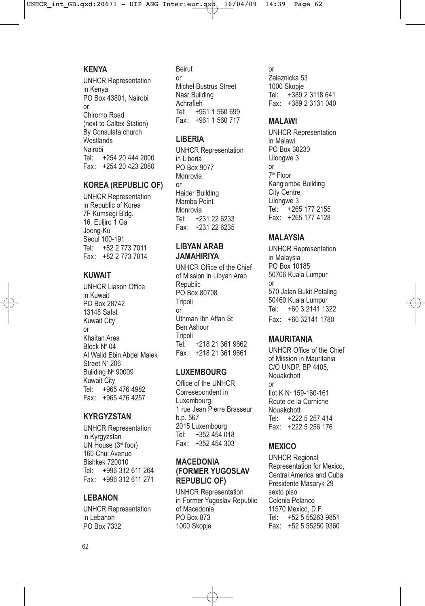#### **KENYA**

UNHCR Representation in Kenya PO Box 43801, Nairobi or Chiromo Road (next to Caltex Station) By Consulata church **Westlands** Nairobi Tel: +254 20 444 2000 Fax: +254 20 423 2080

#### **KOREA (REPUBLIC OF)**

UNHCR Representation in Republic of Korea 7F Kumsegi Bldg. 16, Euljiro 1 Ga Joong-Ku Seoul 100-191<br>Tel: +82 2 7 Tel: +82 2 773 7011 Fax: +82 2 773 7014

#### **KUWAIT**

UNHCR Liason Office in Kuwait PO Box 28742 13148 Safat Kuwait City or Khaitan Area Block Nº 04 Al Walid Ebin Abdel Malek Street N° 206 Building N° 90009 Kuwait City<br>Tel: +965 +965 476 4982 Fax: +965 476 4257

#### **KYRGYZSTAN**

UNHCR Representation in Kyrgyzstan UN House (3rd foor) 160 Chui Avenue Bishkek 720010<br>Tel: +996 312 +996 312 611 264 Fax: +996 312 611 271

### **LEBANON**

UNHCR Representation in Lebanon PO Box 7332

Beirut or Michel Bustrus Street Nasr Building Achrafieh<br>Tel: +9 +961 1 560 699 Fax: +961 1 560 717

### **LIBERIA**

UNHCR Representation in Liberia PO Box 9077 Monrovia or Haider Building Mamba Point Monrovia<br>Tel: +2 +231 22 6233 Fax: +231 22 6235

#### **LIBYAN ARAB JAMAHIRIYA**

UNHCR Office of the Chief of Mission in Libyan Arab **Republic** PO Box 80708 Tripoli or Uthman Ibn Affan St Ben Ashour **Tripoli** Tel: +218 21 361 9662 Fax: +218 21 361 9661

#### **LUXEMBOURG**

Office of the UNHCR Corresepondent in Luxembourg 1 rue Jean Pierre Brasseur b.p. 567 2015 Luxembourg Tel: +352 454 018 Fax: +352 454 303

#### **MACEDONIA (FORMER YUGOSLAV REPUBLIC OF)**

UNHCR Representation in Former Yugoslav Republic of Macedonia PO Box 873 1000 Skopje

#### or

Zeleznicka 53 1000 Skopje<br>Tel: +389 Tel: +389 2 3118 641 Fax: +389 2 3131 040

#### **MALAWI**

UNHCR Representation in Malawi PO Box 30230 Lilongwe 3 or 7th Floor Kang'ombe Building City Centre Lilongwe 3<br>Tel: +26 +265 177 2155 Fax: +265 177 4128

# **MALAYSIA**

UNHCR Representation in Malaysia PO Box 10185 50706 Kuala Lumpur or 570 Jalan Bukit Petaling 50460 Kuala Lumpur Tel: +60 3 2141 1322 Fax: +60 32141 1780

#### **MAURITANIA**

UNHCR Office of the Chief of Mission in Mauritania C/O UNDP, BP 4405, Nouakchott or Ilot K No 159-160-161 Route de la Corniche Nouakchott Tel: +222 5 257 414 Fax: +222 5 256 176

#### **MEXICO**

UNHCR Regional Representation for Mexico, Central America and Cuba Presidente Masaryk 29 sexto piso Colonia Polanco 11570 Mexico, D.F. Tel: +52 5 55263 9851 Fax: +52 5 55250 9360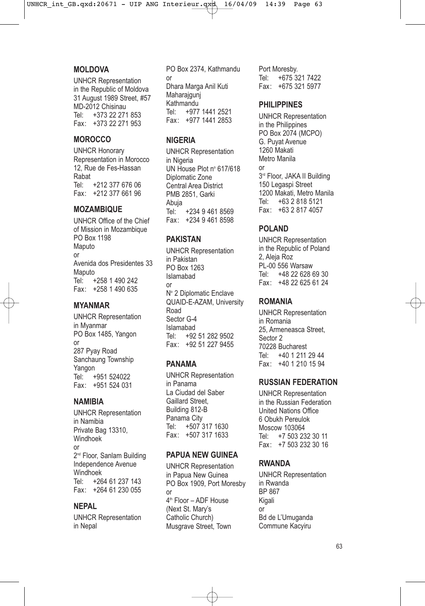#### **MOLDOVA**

UNHCR Representation in the Republic of Moldova 31 August 1989 Street, #57 MD-2012 Chisinau Tel: +373 22 271 853 Fax: +373 22 271 953

# **MOROCCO**

UNHCR Honorary Representation in Morocco 12, Rue de Fes-Hassan Rabat<br>Tel: +212 377 676 06 Fax: +212 377 661 96

#### **MOZAMBIQUE**

UNHCR Office of the Chief of Mission in Mozambique PO Box 1198 Maputo or Avenida dos Presidentes 33 Maputo<br>Tel: + +258 1 490 242 Fax: +258 1 490 635

#### **MYANMAR**

UNHCR Representation in Myanmar PO Box 1485, Yangon or 287 Pyay Road Sanchaung Township Yangon<br>Tel: + +951 524022 Fax: +951 524 031

#### **NAMIBIA**

UNHCR Representation in Namibia Private Bag 13310, Windhoek or 2<sup>nd</sup> Floor, Sanlam Building Independence Avenue Windhoek<br>Tel: +26 +264 61 237 143 Fax: +264 61 230 055

#### **NEPAL**

UNHCR Representation in Nepal

PO Box 2374, Kathmandu or Dhara Marga Anil Kuti Maharajguni Kathmandu<br>Tel: +977 +977 1441 2521 Fax: +977 1441 2853

#### **NIGERIA**

UNHCR Representation in Nigeria UN House Plot nº 617/618 Diplomatic Zone Central Area District PMB 2851, Garki Abuja<br>Tel +234 9 461 8569 Fax: +234 9 461 8598

#### **PAKISTAN**

UNHCR Representation in Pakistan PO Box 1263 Islamabad or Nº 2 Diplomatic Enclave QUAID-E-AZAM, University Road Sector G-4 Islamabad<br>Tel: +92 +92 51 282 9502 Fax: +92 51 227 9455

#### **PANAMA**

UNHCR Representation in Panama La Ciudad del Saber Gaillard Street, Building 812-B Panama City<br>Tel: +507 +507 317 1630 Fax: +507 317 1633

#### **PAPUA NEW GUINEA**

UNHCR Representation in Papua New Guinea PO Box 1909, Port Moresby or  $4<sup>th</sup>$  Floor – ADF House (Next St. Mary's Catholic Church) Musgrave Street, Town

Port Moresby.<br>Tel: +675.3 +675 321 7422 Fax: +675 321 5977

#### **PHILIPPINES**

UNHCR Representation in the Philippines PO Box 2074 (MCPO) G. Puyat Avenue 1260 Makati Metro Manila or 3<sup>rd</sup> Floor, JAKA II Building 150 Legaspi Street 1200 Makati, Metro Manila<br>Tel: +63 2 818 5121 Tel: +63 2 818 5121 Fax: +63 2 817 4057

# **POLAND**

UNHCR Representation in the Republic of Poland 2, Aleja Roz PL-00 556 Warsaw<br>Tel: +48 22 628 +48 22 628 69 30 Fax: +48 22 625 61 24

### **ROMANIA**

UNHCR Representation in Romania 25, Armeneasca Street, Sector 2 70228 Bucharest<br>Tel: +40 1 211 +40 1 211 29 44 Fax: +40 1 210 15 94

#### **RUSSIAN FEDERATION**

UNHCR Representation in the Russian Federation United Nations Office 6 Obukh Pereulok Moscow 103064 +7 503 232 30 11 Fax: +7 503 232 30 16

#### **RWANDA**

UNHCR Representation in Rwanda BP 867 Kigali or Bd de L'Umuganda Commune Kacyiru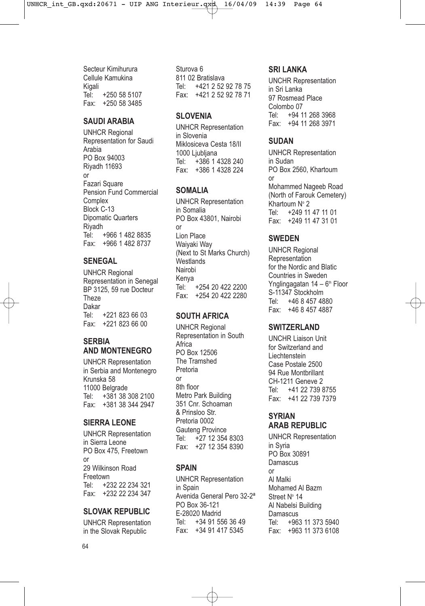Secteur Kimihurura Cellule Kamukina Kigali Tel: +250 58 5107 Fax: +250 58 3485

#### **SAUDI ARABIA**

UNHCR Regional Representation for Saudi Arabia PO Box 94003 Riyadh 11693 or Fazari Square Pension Fund Commercial **Complex** Block C-13 Dipomatic Quarters Riyadh Tel: +966 1 482 8835 Fax: +966 1 482 8737

### **SENEGAL**

UNHCR Regional Representation in Senegal BP 3125, 59 rue Docteur **Theze** Dakar Tel: +221 823 66 03 Fax: +221 823 66 00

#### **SERBIA AND MONTENEGRO**

UNHCR Representation in Serbia and Montenegro Krunska 58 11000 Belgrade<br>Tel: +381 38 3 +381 38 308 2100 Fax: +381 38 344 2947

# **SIERRA LEONE**

UNHCR Representation in Sierra Leone PO Box 475, Freetown or 29 Wilkinson Road Freetown Tel: +232 22 234 321 Fax: +232 22 234 347

# **SLOVAK REPUBLIC**

UNHCR Representation in the Slovak Republic

Sturova 6 811 02 Bratislava Tel: +421 2 52 92 78 75 Fax: +421 2 52 92 78 71

#### **SLOVENIA**

UNHCR Representation in Slovenia Miklosiceva Cesta 18/II 1000 Liubliana Tel: +386 1 4328 240 Fax: +386 1 4328 224

# **SOMALIA**

UNHCR Representation in Somalia PO Box 43801, Nairobi or Lion Place Waiyaki Way (Next to St Marks Church) **Westlands** Nairobi Kenya<br>Tel +254 20 422 2200 Fax: +254 20 422 2280

#### **SOUTH AFRICA**

UNHCR Regional Representation in South Africa PO Box 12506 The Tramshed Pretoria or 8th floor Metro Park Building 351 Cnr. Schoaman & Prinsloo Str. Pretoria 0002 Gauteng Province Tel: +27 12 354 8303 Fax: +27 12 354 8390

#### **SPAIN**

UNHCR Representation in Spain Avenida General Pero 32-2ª PO Box 36-121 E-28020 Madrid Tel: +34 91 556 36 49 Fax: +34 91 417 5345

### **SRI LANKA**

UNCHR Representation in Sri Lanka 97 Rosmead Place Colombo<sub>07</sub> Tel: +94 11 268 3968 Fax: +94 11 268 3971

# **SUDAN**

UNHCR Representation in Sudan PO Box 2560, Khartoum or Mohammed Nageeb Road (North of Farouk Cemetery) Khartoum  $N^{\circ}$  2<br>Tel: +249 11 +249 11 47 11 01 Fax: +249 11 47 31 01

# **SWEDEN**

UNHCR Regional **Representation** for the Nordic and Blatic Countries in Sweden Ynglingagatan  $14 - 6<sup>th</sup>$  Floor S-11347 Stockholm Tel: +46 8 457 4880 Fax: +46 8 457 4887

# **SWITZERLAND**

UNCHR Liaison Unit for Switzerland and Liechtenstein Case Postale 2500 94 Rue Montbrillant CH-1211 Geneve 2 Tel: +41 22 739 8755 Fax: +41 22 739 7379

### **SYRIAN ARAB REPUBLIC**

UNHCR Representation in Syria PO Box 30891 **Damascus** or Al Malki Mohamed Al Bazm Street Nº 14 Al Nabelsi Building **Damascus** Tel: +963 11 373 5940 Fax: +963 11 373 6108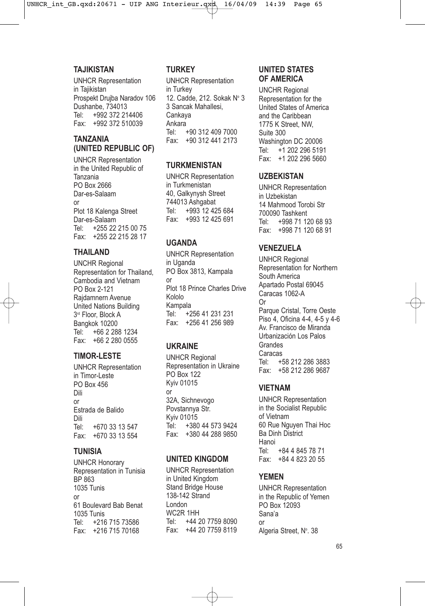#### **TAJIKISTAN**

UNHCR Representation in Taiikistan Prospekt Drujba Naradov 106 Dushanbe, 734013 Tel: +992 372 214406 Fax: +992 372 510039

#### **TANZANIA (UNITED REPUBLIC OF)**

UNHCR Representation in the United Republic of Tanzania PO Box 2666 Dar-es-Salaam or Plot 18 Kalenga Street Dar-es-Salaam<br>Tel: +255.22 +255 22 215 00 75 Fax: +255 22 215 28 17

### **THAILAND**

UNCHR Regional Representation for Thailand, Cambodia and Vietnam PO Box 2-121 Rajdamnern Avenue United Nations Building 3<sup>rd</sup> Floor, Block A Bangkok 10200<br>Tel: +66 2 28 +66 2 288 1234 Fax: +66 2 280 0555

#### **TIMOR-LESTE**

UNHCR Representation in Timor-Leste PO Box 456 Dili or Estrada de Balido Dili<br>Tel: +670 33 13 547 Fax: +670 33 13 554

#### **TUNISIA**

UNHCR Honorary Representation in Tunisia BP 863 1035 Tunis or 61 Boulevard Bab Benat 1035 Tunis Tel: +216 715 73586 Fax: +216 715 70168

# **TURKEY**

UNHCR Representation in Turkey 12. Cadde, 212. Sokak Nº 3 3 Sancak Mahallesi, Cankaya Ankara Tel: +90 312 409 7000 Fax: +90 312 441 2173

### **TURKMENISTAN**

UNHCR Representation in Turkmenistan 40, Galkynysh Street 744013 Ashgabat Tel: +993 12 425 684 Fax: +993 12 425 691

# **UGANDA**

UNHCR Representation in Uganda PO Box 3813, Kampala or Plot 18 Prince Charles Drive Kololo Kampala Tel: +256 41 231 231 Fax: +256 41 256 989

# **UKRAINE**

UNHCR Regional Representation in Ukraine PO Box 122 Kyiv 01015 or 32A, Sichnevogo Povstannya Str. Kyiv 01015 Tel: +380 44 573 9424 Fax: +380 44 288 9850

#### **UNITED KINGDOM**

UNHCR Representation in United Kingdom Stand Bridge House 138-142 Strand London WC2R 1HH Tel: +44 20 7759 8090 Fax: +44 20 7759 8119

### **UNITED STATES OF AMERICA**

UNCHR Regional Representation for the United States of America and the Caribbean 1775 K Street, NW, Suite 300 Washington DC 20006<br>Tel: +1 202 296 519 Tel: +1 202 296 5191 Fax: +1 202 296 5660

#### **UZBEKISTAN**

UNHCR Representation in Uzbekistan 14 Mahmood Torobi Str 700090 Tashkent Tel: +998 71 120 68 93 Fax: +998 71 120 68 91

# **VENEZUELA**

UNHCR Regional Representation for Northern South America Apartado Postal 69045 Caracas 1062-A Or Parque Cristal, Torre Oeste Piso 4, Oficina 4-4, 4-5 y 4-6 Av. Francisco de Miranda Urbanización Los Palos Grandes Caracas<br>Tel: + +58 212 286 3883 Fax: +58 212 286 9687

#### **VIETNAM**

UNHCR Representation in the Socialist Republic of Vietnam 60 Rue Nguyen Thai Hoc Ba Dinh District Hanoi<br>Tel· Tel: +84 4 845 78 71 Fax: +84 4 823 20 55

# **YEMEN**

UNHCR Representation in the Republic of Yemen PO Box 12093 Sana'a or Algeria Street, N°. 38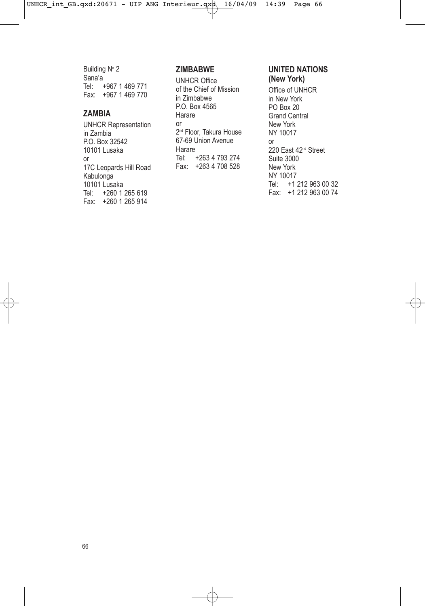Building  $N^{\circ}$  2 Sana'a Tel: +967 1 469 771 Fax: +967 1 469 770

### **ZAMBIA**

UNHCR Representation in Zambia P.O. Box 32542 10101 Lusaka or 17C Leopards Hill Road Kabulonga 10101 Lusaka Tel: +260 1 265 619 Fax: +260 1 265 914

# **ZIMBABWE**

UNHCR Office of the Chief of Mission in Zimbabwe P.O. Box 4565 Harare or 2<sup>nd</sup> Floor, Takura House 67-69 Union Avenue Harare Tel: +263 4 793 274 Fax: +263 4 708 528

#### **UNITED NATIONS (New York)**

Office of UNHCR in New York PO Box 20 Grand Central New York NY 10017 or 220 East 42<sup>nd</sup> Street Suite 3000 New York NY 10017 Tel: +1 212 963 00 32 Fax: +1 212 963 00 74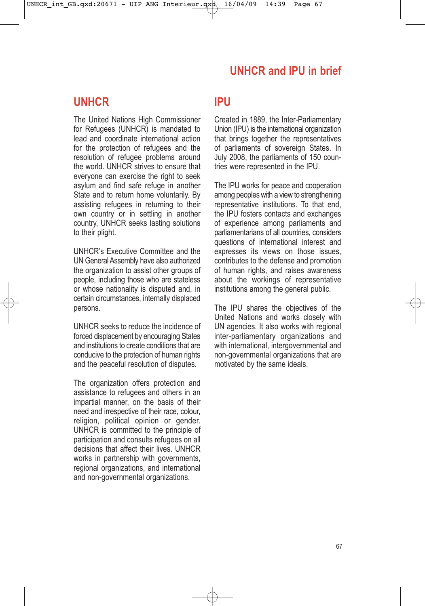# **UNHCR and IPU in brief**

# **UNHCR**

The United Nations High Commissioner for Refugees (UNHCR) is mandated to lead and coordinate international action for the protection of refugees and the resolution of refugee problems around the world. UNHCR strives to ensure that everyone can exercise the right to seek asylum and find safe refuge in another State and to return home voluntarily. By assisting refugees in returning to their own country or in settling in another country, UNHCR seeks lasting solutions to their plight.

UNHCR's Executive Committee and the UN General Assembly have also authorized the organization to assist other groups of people, including those who are stateless or whose nationality is disputed and, in certain circumstances, internally displaced persons.

UNHCR seeks to reduce the incidence of forced displacement by encouraging States and institutions to create conditions that are conducive to the protection of human rights and the peaceful resolution of disputes.

The organization offers protection and assistance to refugees and others in an impartial manner, on the basis of their need and irrespective of their race, colour, religion, political opinion or gender. UNHCR is committed to the principle of participation and consults refugees on all decisions that affect their lives. UNHCR works in partnership with governments, regional organizations, and international and non-governmental organizations.

# **IPU**

Created in 1889, the Inter-Parliamentary Union (IPU) is the international organization that brings together the representatives of parliaments of sovereign States. In July 2008, the parliaments of 150 countries were represented in the IPU.

The IPU works for peace and cooperation among peoples with a view to strengthening representative institutions. To that end, the IPU fosters contacts and exchanges of experience among parliaments and parliamentarians of all countries, considers questions of international interest and expresses its views on those issues, contributes to the defense and promotion of human rights, and raises awareness about the workings of representative institutions among the general public.

The IPU shares the objectives of the United Nations and works closely with UN agencies. It also works with regional inter-parliamentary organizations and with international, intergovernmental and non-governmental organizations that are motivated by the same ideals.